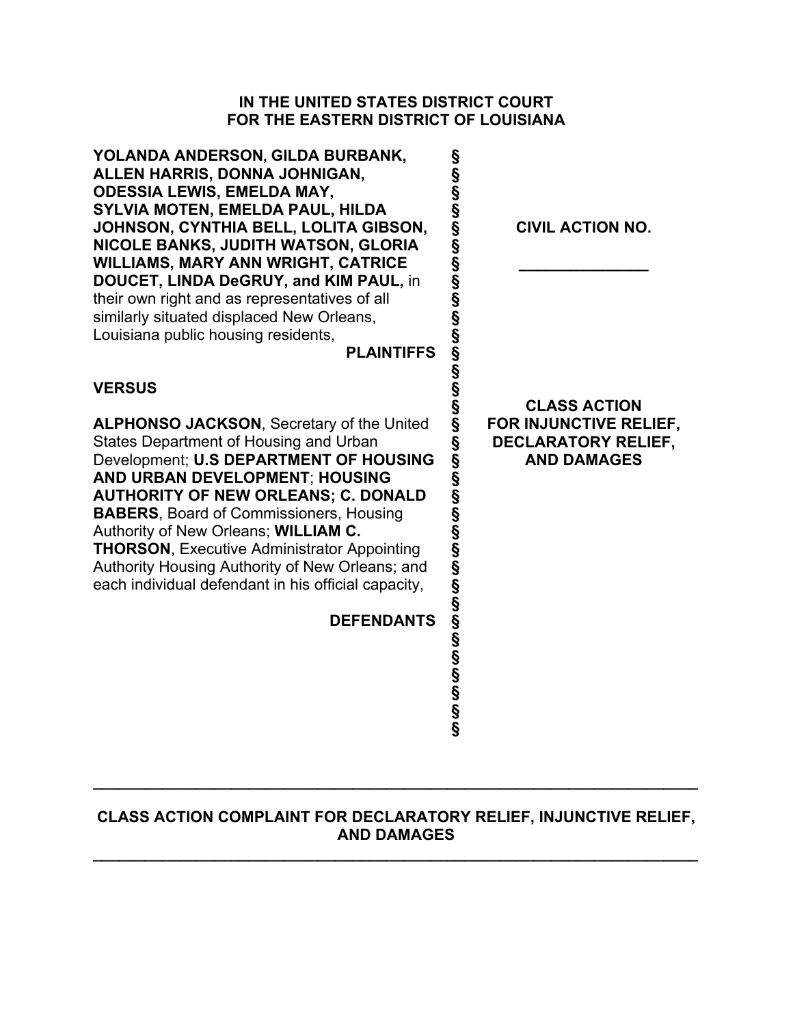## **IN THE UNITED STATES DISTRICT COURT FOR THE EASTERN DISTRICT OF LOUISIANA**

| <b>CIVIL ACTION NO.</b>                                                                                       |
|---------------------------------------------------------------------------------------------------------------|
|                                                                                                               |
| <b>CLASS ACTION</b><br>FOR INJUNCTIVE RELIEF,<br><b>DECLARATORY RELIEF,</b><br><b>AND DAMAGES</b>             |
|                                                                                                               |
| ന്ദ്ര മാന്ദ്ര മാന്ദ്ര മാന്ദ്ര മാന്ദ്ര മാന്ദ്ര മാന്ദ്ര മാന്ദ്ര മാന്ദ്ര മാന്ദ്ര മാന്ദ്ര മാന്ദ്ര മാന്ദ്ര മാന്ദ്ര |

# **CLASS ACTION COMPLAINT FOR DECLARATORY RELIEF, INJUNCTIVE RELIEF, AND DAMAGES**

**\_\_\_\_\_\_\_\_\_\_\_\_\_\_\_\_\_\_\_\_\_\_\_\_\_\_\_\_\_\_\_\_\_\_\_\_\_\_\_\_\_\_\_\_\_\_\_\_\_\_\_\_\_\_\_\_\_\_\_\_\_\_\_\_\_\_\_\_\_\_** 

**\_\_\_\_\_\_\_\_\_\_\_\_\_\_\_\_\_\_\_\_\_\_\_\_\_\_\_\_\_\_\_\_\_\_\_\_\_\_\_\_\_\_\_\_\_\_\_\_\_\_\_\_\_\_\_\_\_\_\_\_\_\_\_\_\_\_\_\_\_\_**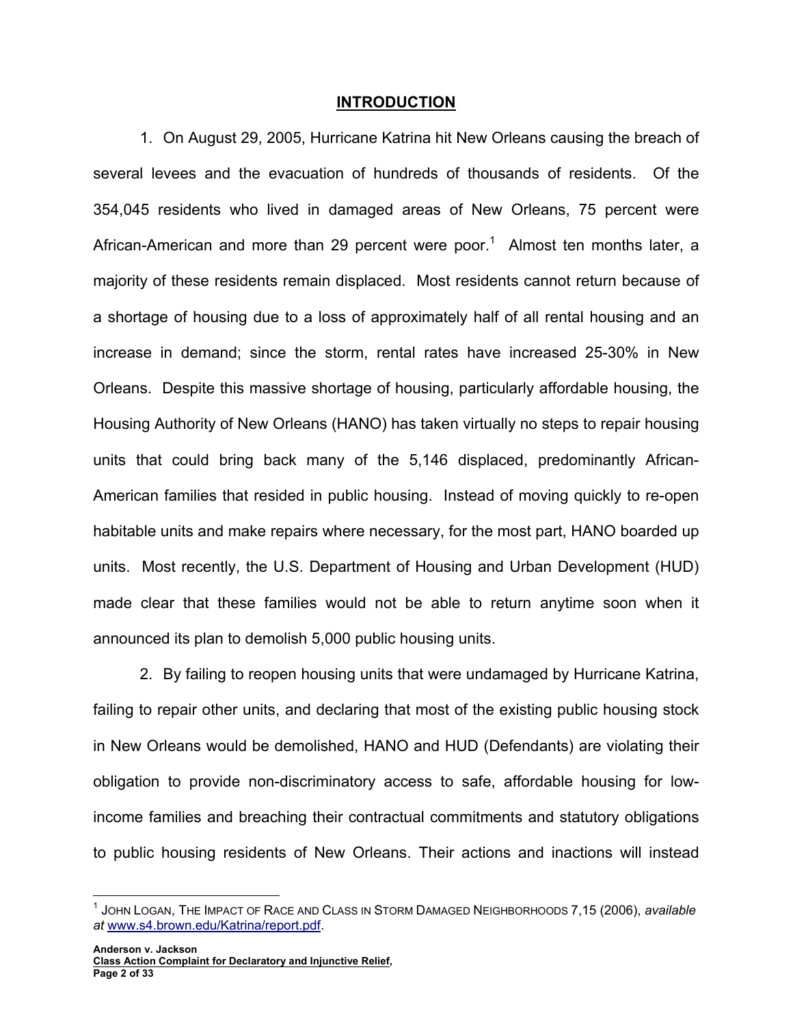#### **INTRODUCTION**

1. On August 29, 2005, Hurricane Katrina hit New Orleans causing the breach of several levees and the evacuation of hundreds of thousands of residents. Of the 354,045 residents who lived in damaged areas of New Orleans, 75 percent were African-American and more than 29 percent were poor.<sup>1</sup> Almost ten months later, a majority of these residents remain displaced. Most residents cannot return because of a shortage of housing due to a loss of approximately half of all rental housing and an increase in demand; since the storm, rental rates have increased 25-30% in New Orleans. Despite this massive shortage of housing, particularly affordable housing, the Housing Authority of New Orleans (HANO) has taken virtually no steps to repair housing units that could bring back many of the 5,146 displaced, predominantly African-American families that resided in public housing. Instead of moving quickly to re-open habitable units and make repairs where necessary, for the most part, HANO boarded up units. Most recently, the U.S. Department of Housing and Urban Development (HUD) made clear that these families would not be able to return anytime soon when it announced its plan to demolish 5,000 public housing units.

2. By failing to reopen housing units that were undamaged by Hurricane Katrina, failing to repair other units, and declaring that most of the existing public housing stock in New Orleans would be demolished, HANO and HUD (Defendants) are violating their obligation to provide non-discriminatory access to safe, affordable housing for lowincome families and breaching their contractual commitments and statutory obligations to public housing residents of New Orleans. Their actions and inactions will instead

 $\overline{a}$ 

<sup>1</sup> JOHN LOGAN, THE IMPACT OF RACE AND CLASS IN STORM DAMAGED NEIGHBORHOODS 7,15 (2006), *available at* www.s4.brown.edu/Katrina/report.pdf.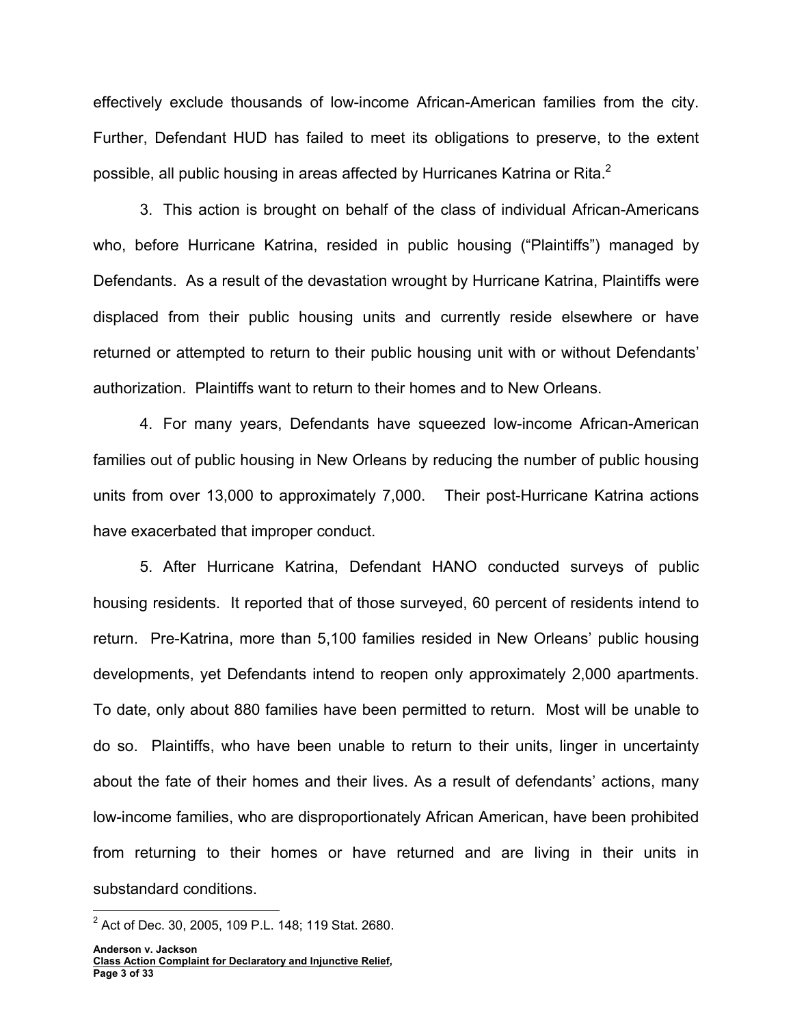effectively exclude thousands of low-income African-American families from the city. Further, Defendant HUD has failed to meet its obligations to preserve, to the extent possible, all public housing in areas affected by Hurricanes Katrina or Rita.<sup>2</sup>

3. This action is brought on behalf of the class of individual African-Americans who, before Hurricane Katrina, resided in public housing ("Plaintiffs") managed by Defendants. As a result of the devastation wrought by Hurricane Katrina, Plaintiffs were displaced from their public housing units and currently reside elsewhere or have returned or attempted to return to their public housing unit with or without Defendants' authorization. Plaintiffs want to return to their homes and to New Orleans.

4. For many years, Defendants have squeezed low-income African-American families out of public housing in New Orleans by reducing the number of public housing units from over 13,000 to approximately 7,000. Their post-Hurricane Katrina actions have exacerbated that improper conduct.

5. After Hurricane Katrina, Defendant HANO conducted surveys of public housing residents. It reported that of those surveyed, 60 percent of residents intend to return. Pre-Katrina, more than 5,100 families resided in New Orleans' public housing developments, yet Defendants intend to reopen only approximately 2,000 apartments. To date, only about 880 families have been permitted to return. Most will be unable to do so. Plaintiffs, who have been unable to return to their units, linger in uncertainty about the fate of their homes and their lives. As a result of defendants' actions, many low-income families, who are disproportionately African American, have been prohibited from returning to their homes or have returned and are living in their units in substandard conditions.

 2 Act of Dec. 30, 2005, 109 P.L. 148; 119 Stat. 2680.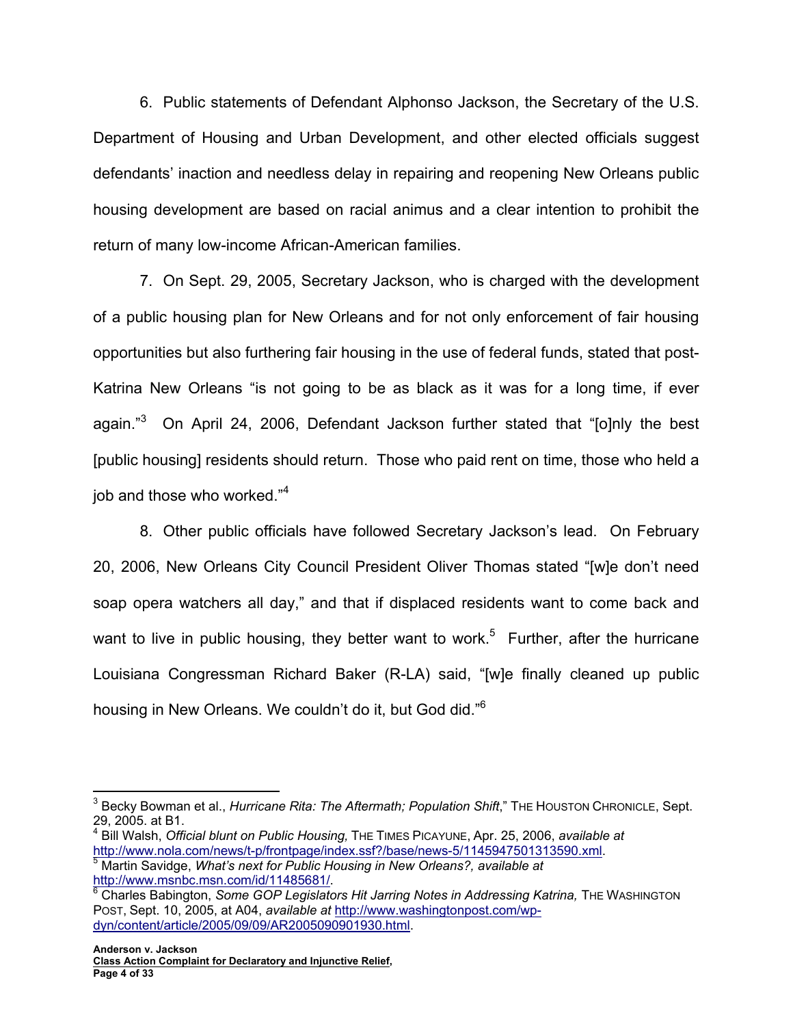6. Public statements of Defendant Alphonso Jackson, the Secretary of the U.S. Department of Housing and Urban Development, and other elected officials suggest defendants' inaction and needless delay in repairing and reopening New Orleans public housing development are based on racial animus and a clear intention to prohibit the return of many low-income African-American families.

7. On Sept. 29, 2005, Secretary Jackson, who is charged with the development of a public housing plan for New Orleans and for not only enforcement of fair housing opportunities but also furthering fair housing in the use of federal funds, stated that post-Katrina New Orleans "is not going to be as black as it was for a long time, if ever again."<sup>3</sup> On April 24, 2006, Defendant Jackson further stated that "[o]nly the best [public housing] residents should return. Those who paid rent on time, those who held a job and those who worked."<sup>4</sup>

8. Other public officials have followed Secretary Jackson's lead. On February 20, 2006, New Orleans City Council President Oliver Thomas stated "[w]e don't need soap opera watchers all day," and that if displaced residents want to come back and want to live in public housing, they better want to work.<sup>5</sup> Further, after the hurricane Louisiana Congressman Richard Baker (R-LA) said, "[w]e finally cleaned up public housing in New Orleans. We couldn't do it, but God did."6

 $\overline{a}$ <sup>3</sup> Becky Bowman et al., *Hurricane Rita: The Aftermath; Population Shift*," Тнє Но∪ѕтом Снкоміс∟є, Sept. 29, 2005. at B1.

<sup>4</sup> Bill Walsh, *Official blunt on Public Housing,* THE TIMES PICAYUNE, Apr. 25, 2006, *available at* http://www.nola.com/news/t-p/frontpage/index.ssf?/base/news-5/1145947501313590.xml. 5 <sup>5</sup> Martin Savidge, *What's next for Public Housing in New Orleans?, available at* 

http://www.msnbc.msn.com/id/11485681/. <sup>6</sup> Charles Babington, *Some GOP Legislators Hit Jarring Notes in Addressing Katrina*, THE WASHINGTON

POST, Sept. 10, 2005, at A04, *available at* http://www.washingtonpost.com/wpdyn/content/article/2005/09/09/AR2005090901930.html.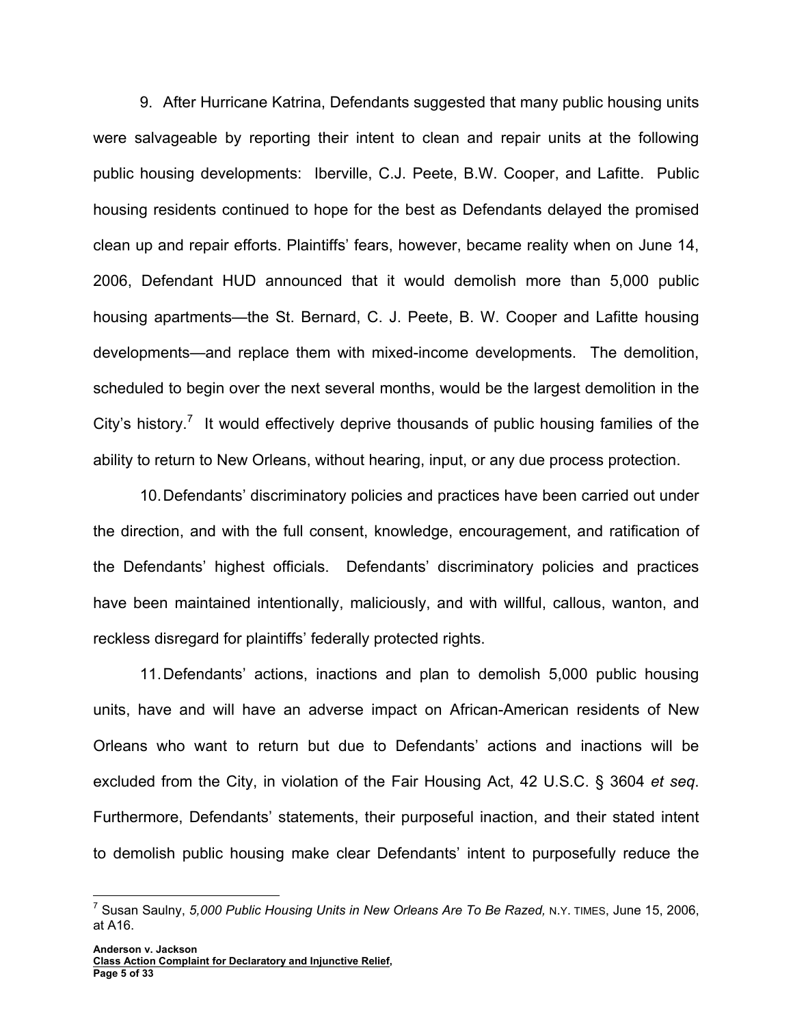9. After Hurricane Katrina, Defendants suggested that many public housing units were salvageable by reporting their intent to clean and repair units at the following public housing developments: Iberville, C.J. Peete, B.W. Cooper, and Lafitte. Public housing residents continued to hope for the best as Defendants delayed the promised clean up and repair efforts. Plaintiffs' fears, however, became reality when on June 14, 2006, Defendant HUD announced that it would demolish more than 5,000 public housing apartments—the St. Bernard, C. J. Peete, B. W. Cooper and Lafitte housing developments—and replace them with mixed-income developments. The demolition, scheduled to begin over the next several months, would be the largest demolition in the City's history.<sup>7</sup> It would effectively deprive thousands of public housing families of the ability to return to New Orleans, without hearing, input, or any due process protection.

10. Defendants' discriminatory policies and practices have been carried out under the direction, and with the full consent, knowledge, encouragement, and ratification of the Defendants' highest officials. Defendants' discriminatory policies and practices have been maintained intentionally, maliciously, and with willful, callous, wanton, and reckless disregard for plaintiffs' federally protected rights.

11. Defendants' actions, inactions and plan to demolish 5,000 public housing units, have and will have an adverse impact on African-American residents of New Orleans who want to return but due to Defendants' actions and inactions will be excluded from the City, in violation of the Fair Housing Act, 42 U.S.C. § 3604 *et seq*. Furthermore, Defendants' statements, their purposeful inaction, and their stated intent to demolish public housing make clear Defendants' intent to purposefully reduce the

 7 Susan Saulny, *5,000 Public Housing Units in New Orleans Are To Be Razed,* N.Y. TIMES, June 15, 2006, at A16.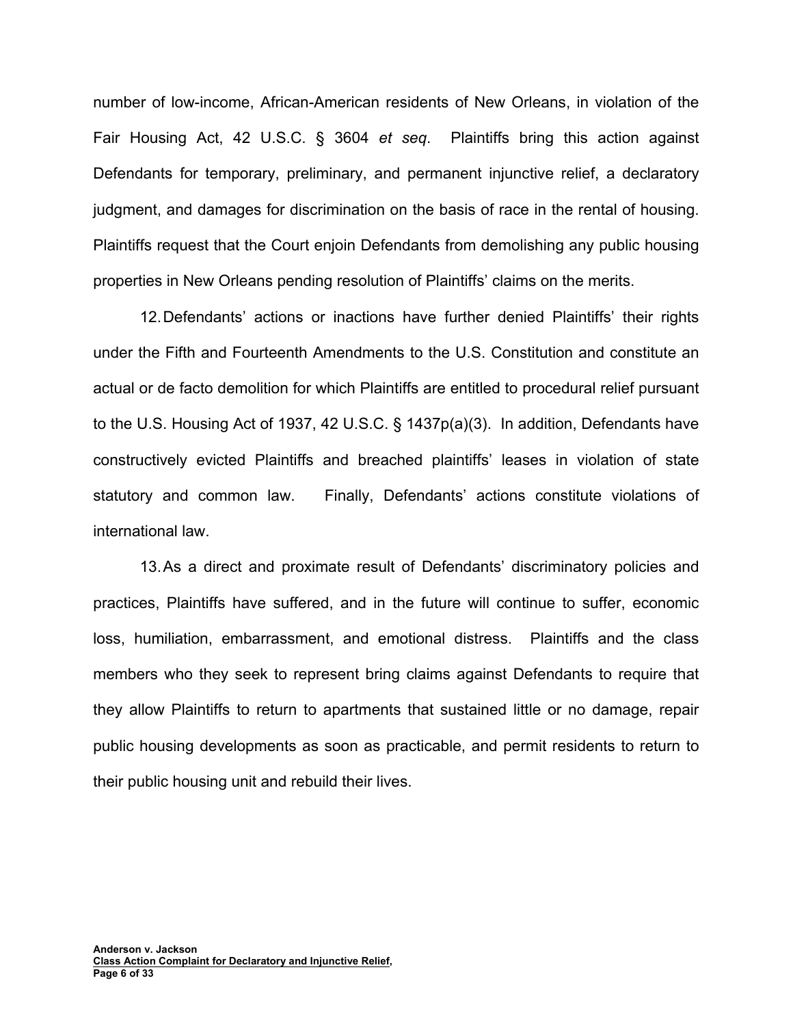number of low-income, African-American residents of New Orleans, in violation of the Fair Housing Act, 42 U.S.C. § 3604 *et seq*. Plaintiffs bring this action against Defendants for temporary, preliminary, and permanent injunctive relief, a declaratory judgment, and damages for discrimination on the basis of race in the rental of housing. Plaintiffs request that the Court enjoin Defendants from demolishing any public housing properties in New Orleans pending resolution of Plaintiffs' claims on the merits.

12. Defendants' actions or inactions have further denied Plaintiffs' their rights under the Fifth and Fourteenth Amendments to the U.S. Constitution and constitute an actual or de facto demolition for which Plaintiffs are entitled to procedural relief pursuant to the U.S. Housing Act of 1937, 42 U.S.C. § 1437p(a)(3). In addition, Defendants have constructively evicted Plaintiffs and breached plaintiffs' leases in violation of state statutory and common law. Finally, Defendants' actions constitute violations of international law.

13. As a direct and proximate result of Defendants' discriminatory policies and practices, Plaintiffs have suffered, and in the future will continue to suffer, economic loss, humiliation, embarrassment, and emotional distress. Plaintiffs and the class members who they seek to represent bring claims against Defendants to require that they allow Plaintiffs to return to apartments that sustained little or no damage, repair public housing developments as soon as practicable, and permit residents to return to their public housing unit and rebuild their lives.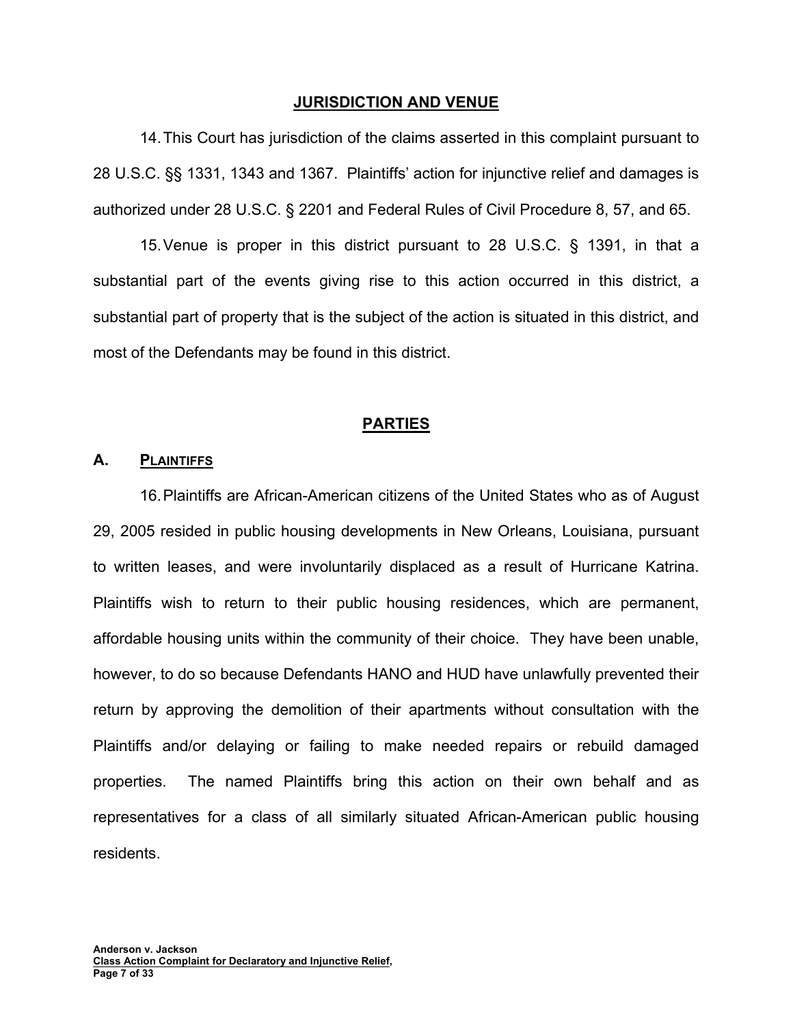#### **JURISDICTION AND VENUE**

14. This Court has jurisdiction of the claims asserted in this complaint pursuant to 28 U.S.C. §§ 1331, 1343 and 1367. Plaintiffs' action for injunctive relief and damages is authorized under 28 U.S.C. § 2201 and Federal Rules of Civil Procedure 8, 57, and 65.

15. Venue is proper in this district pursuant to 28 U.S.C. § 1391, in that a substantial part of the events giving rise to this action occurred in this district, a substantial part of property that is the subject of the action is situated in this district, and most of the Defendants may be found in this district.

#### **PARTIES**

#### **A. PLAINTIFFS**

16. Plaintiffs are African-American citizens of the United States who as of August 29, 2005 resided in public housing developments in New Orleans, Louisiana, pursuant to written leases, and were involuntarily displaced as a result of Hurricane Katrina. Plaintiffs wish to return to their public housing residences, which are permanent, affordable housing units within the community of their choice. They have been unable, however, to do so because Defendants HANO and HUD have unlawfully prevented their return by approving the demolition of their apartments without consultation with the Plaintiffs and/or delaying or failing to make needed repairs or rebuild damaged properties. The named Plaintiffs bring this action on their own behalf and as representatives for a class of all similarly situated African-American public housing residents.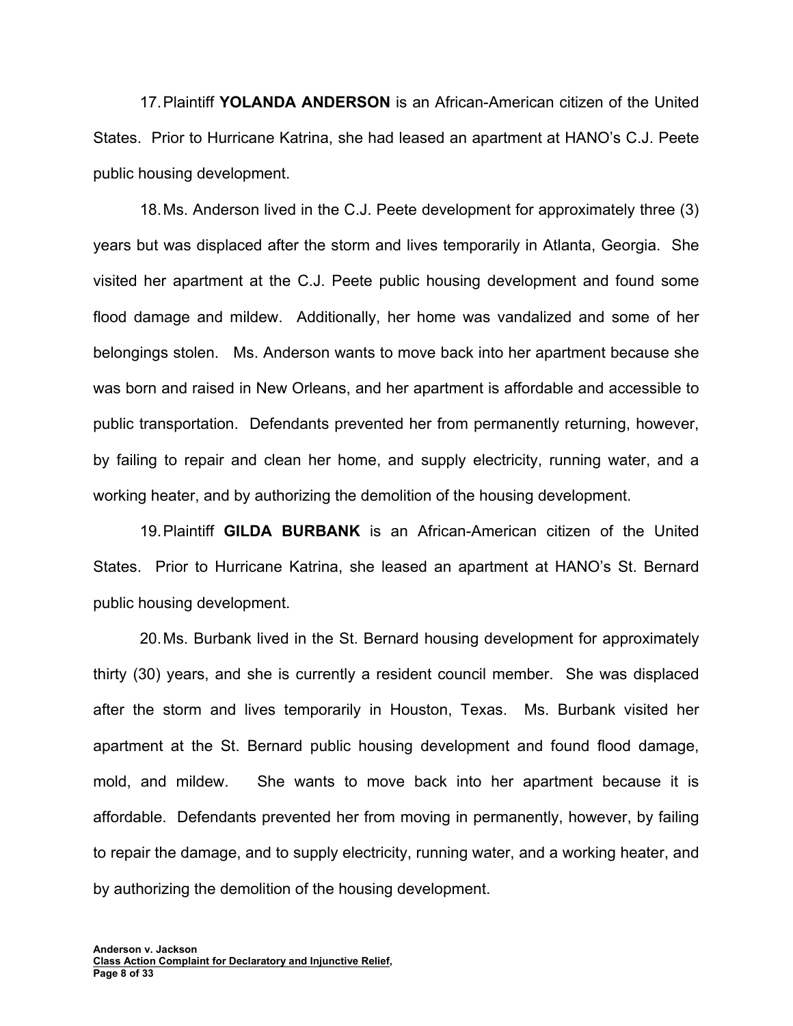17. Plaintiff **YOLANDA ANDERSON** is an African-American citizen of the United States. Prior to Hurricane Katrina, she had leased an apartment at HANO's C.J. Peete public housing development.

18. Ms. Anderson lived in the C.J. Peete development for approximately three (3) years but was displaced after the storm and lives temporarily in Atlanta, Georgia. She visited her apartment at the C.J. Peete public housing development and found some flood damage and mildew. Additionally, her home was vandalized and some of her belongings stolen. Ms. Anderson wants to move back into her apartment because she was born and raised in New Orleans, and her apartment is affordable and accessible to public transportation. Defendants prevented her from permanently returning, however, by failing to repair and clean her home, and supply electricity, running water, and a working heater, and by authorizing the demolition of the housing development.

19. Plaintiff **GILDA BURBANK** is an African-American citizen of the United States. Prior to Hurricane Katrina, she leased an apartment at HANO's St. Bernard public housing development.

20. Ms. Burbank lived in the St. Bernard housing development for approximately thirty (30) years, and she is currently a resident council member. She was displaced after the storm and lives temporarily in Houston, Texas. Ms. Burbank visited her apartment at the St. Bernard public housing development and found flood damage, mold, and mildew. She wants to move back into her apartment because it is affordable. Defendants prevented her from moving in permanently, however, by failing to repair the damage, and to supply electricity, running water, and a working heater, and by authorizing the demolition of the housing development.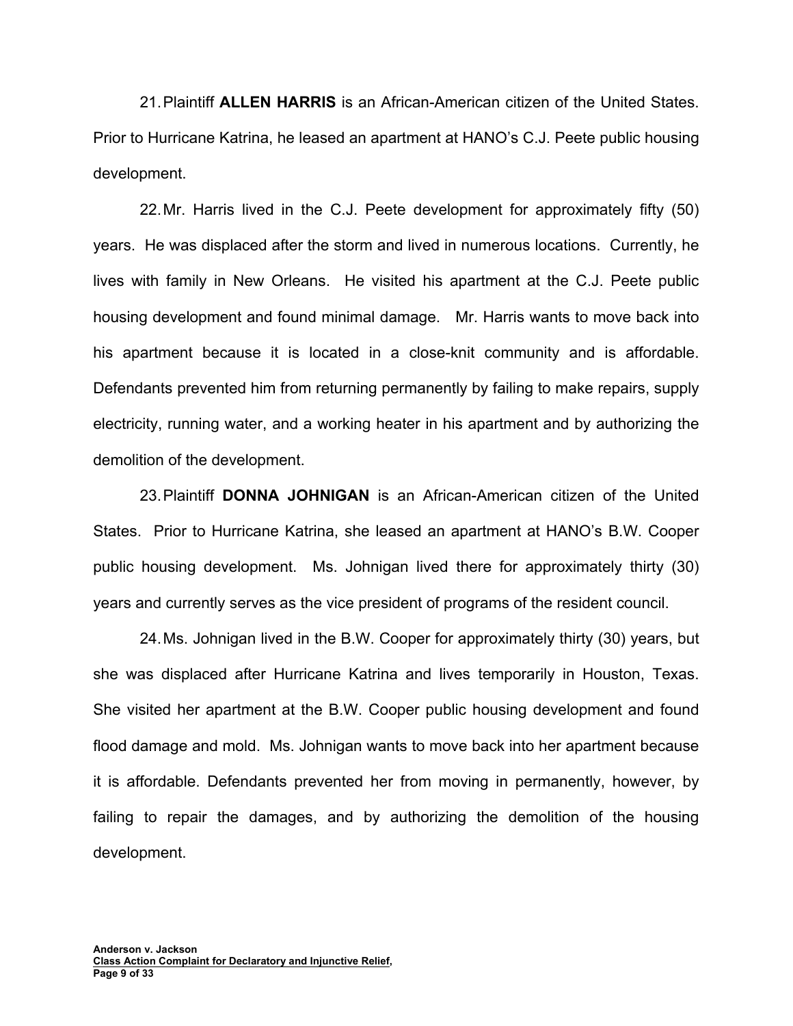21. Plaintiff **ALLEN HARRIS** is an African-American citizen of the United States. Prior to Hurricane Katrina, he leased an apartment at HANO's C.J. Peete public housing development.

22. Mr. Harris lived in the C.J. Peete development for approximately fifty (50) years. He was displaced after the storm and lived in numerous locations. Currently, he lives with family in New Orleans. He visited his apartment at the C.J. Peete public housing development and found minimal damage. Mr. Harris wants to move back into his apartment because it is located in a close-knit community and is affordable. Defendants prevented him from returning permanently by failing to make repairs, supply electricity, running water, and a working heater in his apartment and by authorizing the demolition of the development.

23. Plaintiff **DONNA JOHNIGAN** is an African-American citizen of the United States. Prior to Hurricane Katrina, she leased an apartment at HANO's B.W. Cooper public housing development. Ms. Johnigan lived there for approximately thirty (30) years and currently serves as the vice president of programs of the resident council.

24. Ms. Johnigan lived in the B.W. Cooper for approximately thirty (30) years, but she was displaced after Hurricane Katrina and lives temporarily in Houston, Texas. She visited her apartment at the B.W. Cooper public housing development and found flood damage and mold. Ms. Johnigan wants to move back into her apartment because it is affordable. Defendants prevented her from moving in permanently, however, by failing to repair the damages, and by authorizing the demolition of the housing development.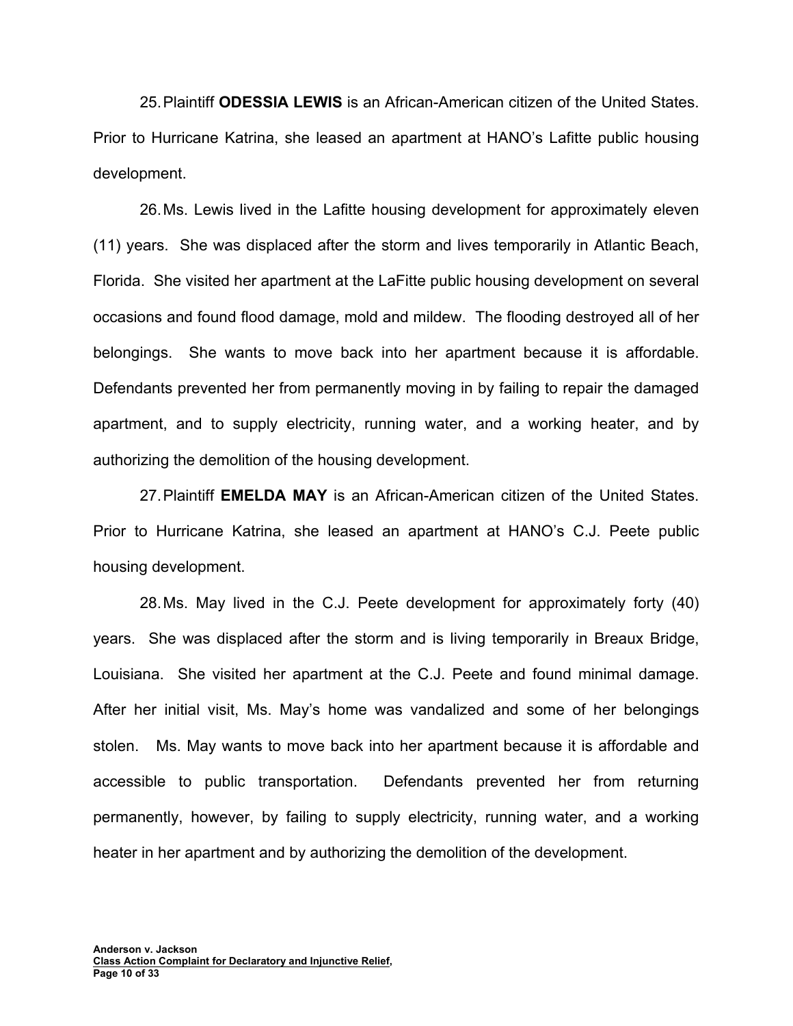25. Plaintiff **ODESSIA LEWIS** is an African-American citizen of the United States. Prior to Hurricane Katrina, she leased an apartment at HANO's Lafitte public housing development.

26. Ms. Lewis lived in the Lafitte housing development for approximately eleven (11) years. She was displaced after the storm and lives temporarily in Atlantic Beach, Florida. She visited her apartment at the LaFitte public housing development on several occasions and found flood damage, mold and mildew. The flooding destroyed all of her belongings. She wants to move back into her apartment because it is affordable. Defendants prevented her from permanently moving in by failing to repair the damaged apartment, and to supply electricity, running water, and a working heater, and by authorizing the demolition of the housing development.

27. Plaintiff **EMELDA MAY** is an African-American citizen of the United States. Prior to Hurricane Katrina, she leased an apartment at HANO's C.J. Peete public housing development.

28. Ms. May lived in the C.J. Peete development for approximately forty (40) years. She was displaced after the storm and is living temporarily in Breaux Bridge, Louisiana. She visited her apartment at the C.J. Peete and found minimal damage. After her initial visit, Ms. May's home was vandalized and some of her belongings stolen. Ms. May wants to move back into her apartment because it is affordable and accessible to public transportation. Defendants prevented her from returning permanently, however, by failing to supply electricity, running water, and a working heater in her apartment and by authorizing the demolition of the development.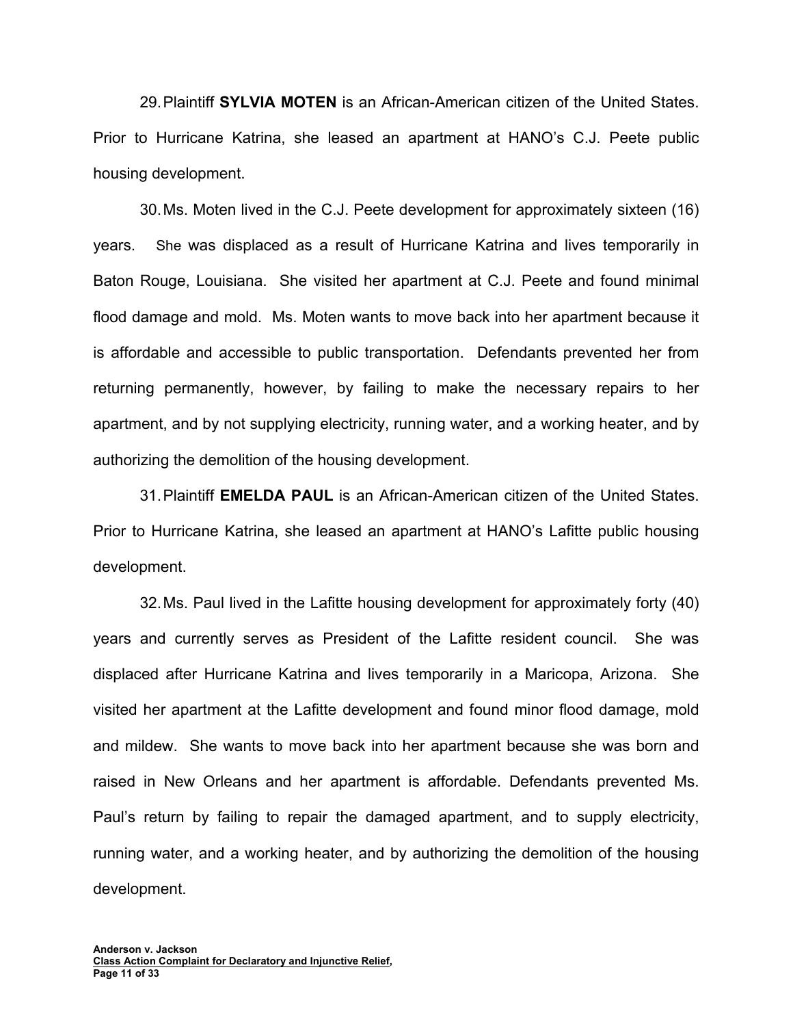29. Plaintiff **SYLVIA MOTEN** is an African-American citizen of the United States. Prior to Hurricane Katrina, she leased an apartment at HANO's C.J. Peete public housing development.

30. Ms. Moten lived in the C.J. Peete development for approximately sixteen (16) years. She was displaced as a result of Hurricane Katrina and lives temporarily in Baton Rouge, Louisiana. She visited her apartment at C.J. Peete and found minimal flood damage and mold. Ms. Moten wants to move back into her apartment because it is affordable and accessible to public transportation. Defendants prevented her from returning permanently, however, by failing to make the necessary repairs to her apartment, and by not supplying electricity, running water, and a working heater, and by authorizing the demolition of the housing development.

31. Plaintiff **EMELDA PAUL** is an African-American citizen of the United States. Prior to Hurricane Katrina, she leased an apartment at HANO's Lafitte public housing development.

32. Ms. Paul lived in the Lafitte housing development for approximately forty (40) years and currently serves as President of the Lafitte resident council. She was displaced after Hurricane Katrina and lives temporarily in a Maricopa, Arizona. She visited her apartment at the Lafitte development and found minor flood damage, mold and mildew. She wants to move back into her apartment because she was born and raised in New Orleans and her apartment is affordable. Defendants prevented Ms. Paul's return by failing to repair the damaged apartment, and to supply electricity, running water, and a working heater, and by authorizing the demolition of the housing development.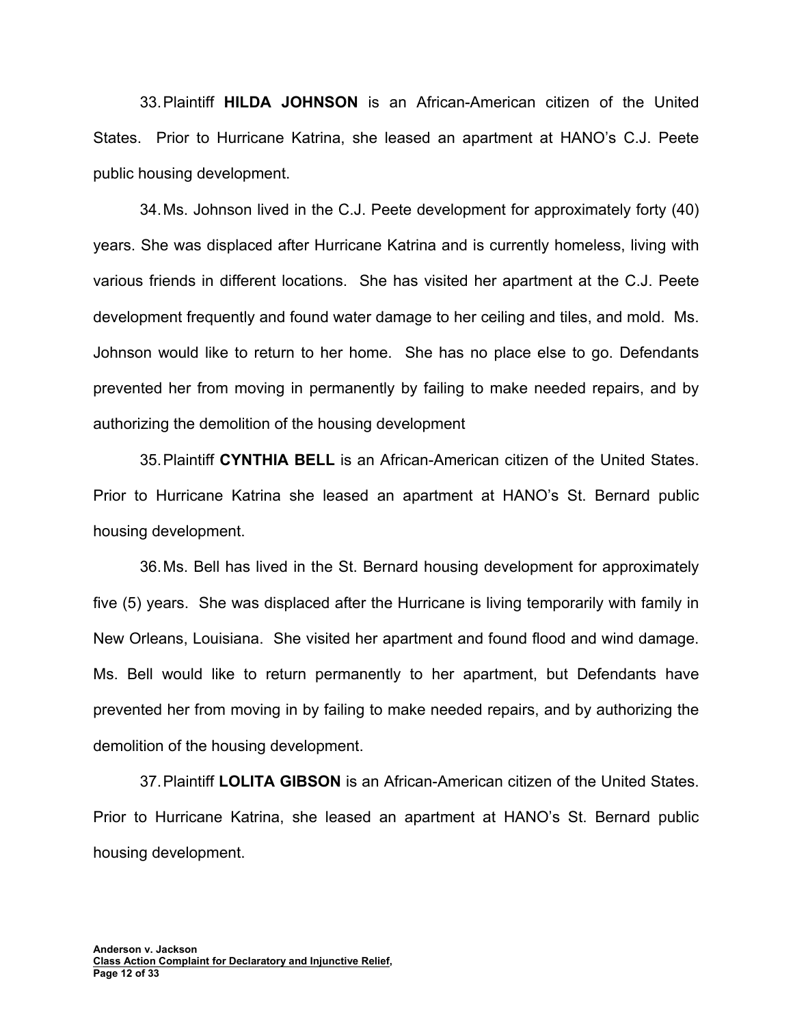33. Plaintiff **HILDA JOHNSON** is an African-American citizen of the United States. Prior to Hurricane Katrina, she leased an apartment at HANO's C.J. Peete public housing development.

34. Ms. Johnson lived in the C.J. Peete development for approximately forty (40) years. She was displaced after Hurricane Katrina and is currently homeless, living with various friends in different locations. She has visited her apartment at the C.J. Peete development frequently and found water damage to her ceiling and tiles, and mold. Ms. Johnson would like to return to her home. She has no place else to go. Defendants prevented her from moving in permanently by failing to make needed repairs, and by authorizing the demolition of the housing development

35. Plaintiff **CYNTHIA BELL** is an African-American citizen of the United States. Prior to Hurricane Katrina she leased an apartment at HANO's St. Bernard public housing development.

36. Ms. Bell has lived in the St. Bernard housing development for approximately five (5) years. She was displaced after the Hurricane is living temporarily with family in New Orleans, Louisiana. She visited her apartment and found flood and wind damage. Ms. Bell would like to return permanently to her apartment, but Defendants have prevented her from moving in by failing to make needed repairs, and by authorizing the demolition of the housing development.

37. Plaintiff **LOLITA GIBSON** is an African-American citizen of the United States. Prior to Hurricane Katrina, she leased an apartment at HANO's St. Bernard public housing development.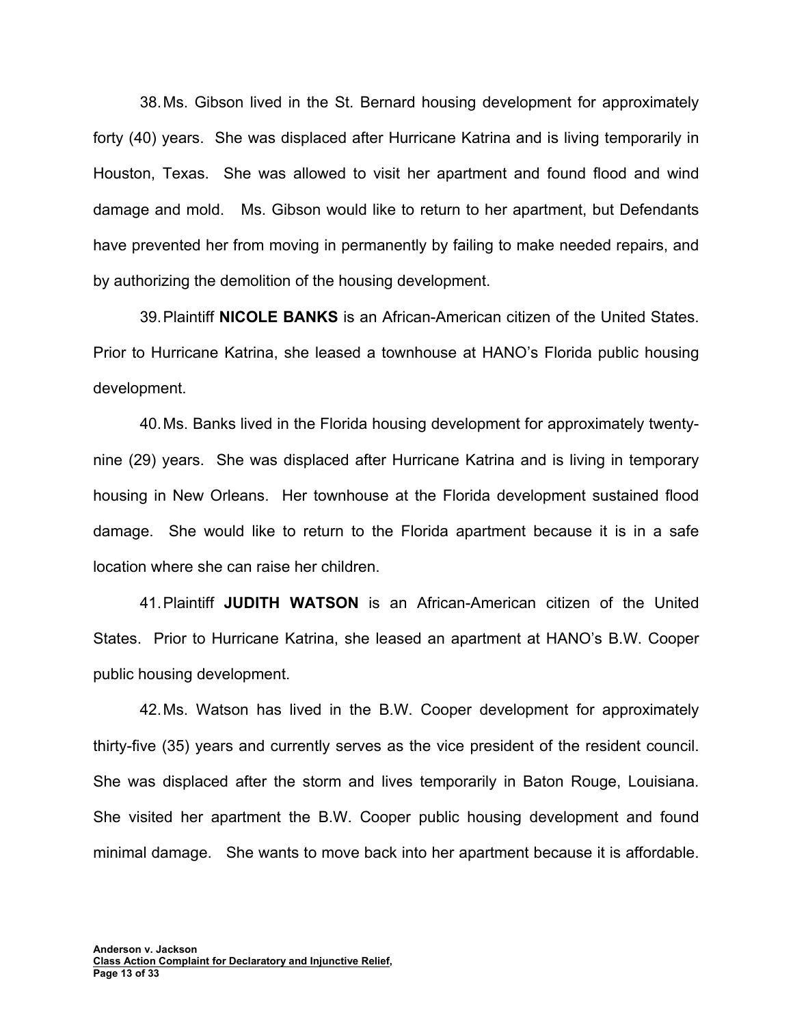38. Ms. Gibson lived in the St. Bernard housing development for approximately forty (40) years. She was displaced after Hurricane Katrina and is living temporarily in Houston, Texas. She was allowed to visit her apartment and found flood and wind damage and mold. Ms. Gibson would like to return to her apartment, but Defendants have prevented her from moving in permanently by failing to make needed repairs, and by authorizing the demolition of the housing development.

39. Plaintiff **NICOLE BANKS** is an African-American citizen of the United States. Prior to Hurricane Katrina, she leased a townhouse at HANO's Florida public housing development.

40. Ms. Banks lived in the Florida housing development for approximately twentynine (29) years. She was displaced after Hurricane Katrina and is living in temporary housing in New Orleans. Her townhouse at the Florida development sustained flood damage. She would like to return to the Florida apartment because it is in a safe location where she can raise her children.

41. Plaintiff **JUDITH WATSON** is an African-American citizen of the United States. Prior to Hurricane Katrina, she leased an apartment at HANO's B.W. Cooper public housing development.

42. Ms. Watson has lived in the B.W. Cooper development for approximately thirty-five (35) years and currently serves as the vice president of the resident council. She was displaced after the storm and lives temporarily in Baton Rouge, Louisiana. She visited her apartment the B.W. Cooper public housing development and found minimal damage. She wants to move back into her apartment because it is affordable.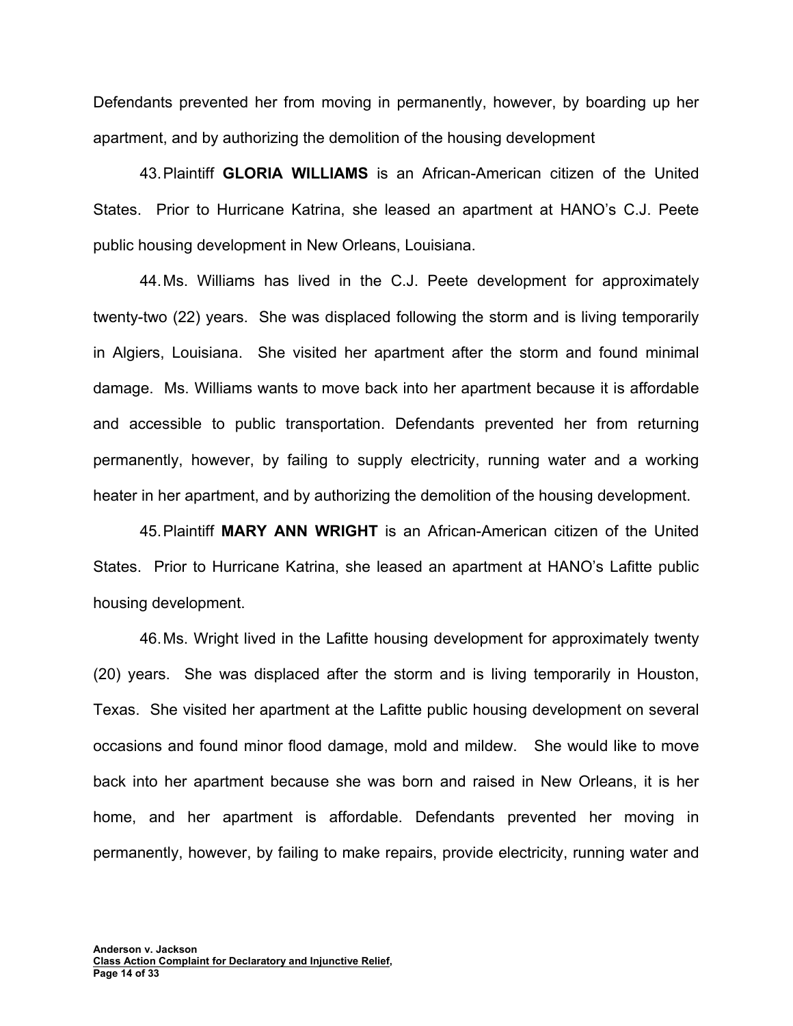Defendants prevented her from moving in permanently, however, by boarding up her apartment, and by authorizing the demolition of the housing development

43. Plaintiff **GLORIA WILLIAMS** is an African-American citizen of the United States. Prior to Hurricane Katrina, she leased an apartment at HANO's C.J. Peete public housing development in New Orleans, Louisiana.

44. Ms. Williams has lived in the C.J. Peete development for approximately twenty-two (22) years. She was displaced following the storm and is living temporarily in Algiers, Louisiana. She visited her apartment after the storm and found minimal damage. Ms. Williams wants to move back into her apartment because it is affordable and accessible to public transportation. Defendants prevented her from returning permanently, however, by failing to supply electricity, running water and a working heater in her apartment, and by authorizing the demolition of the housing development.

45. Plaintiff **MARY ANN WRIGHT** is an African-American citizen of the United States. Prior to Hurricane Katrina, she leased an apartment at HANO's Lafitte public housing development.

46. Ms. Wright lived in the Lafitte housing development for approximately twenty (20) years. She was displaced after the storm and is living temporarily in Houston, Texas. She visited her apartment at the Lafitte public housing development on several occasions and found minor flood damage, mold and mildew. She would like to move back into her apartment because she was born and raised in New Orleans, it is her home, and her apartment is affordable. Defendants prevented her moving in permanently, however, by failing to make repairs, provide electricity, running water and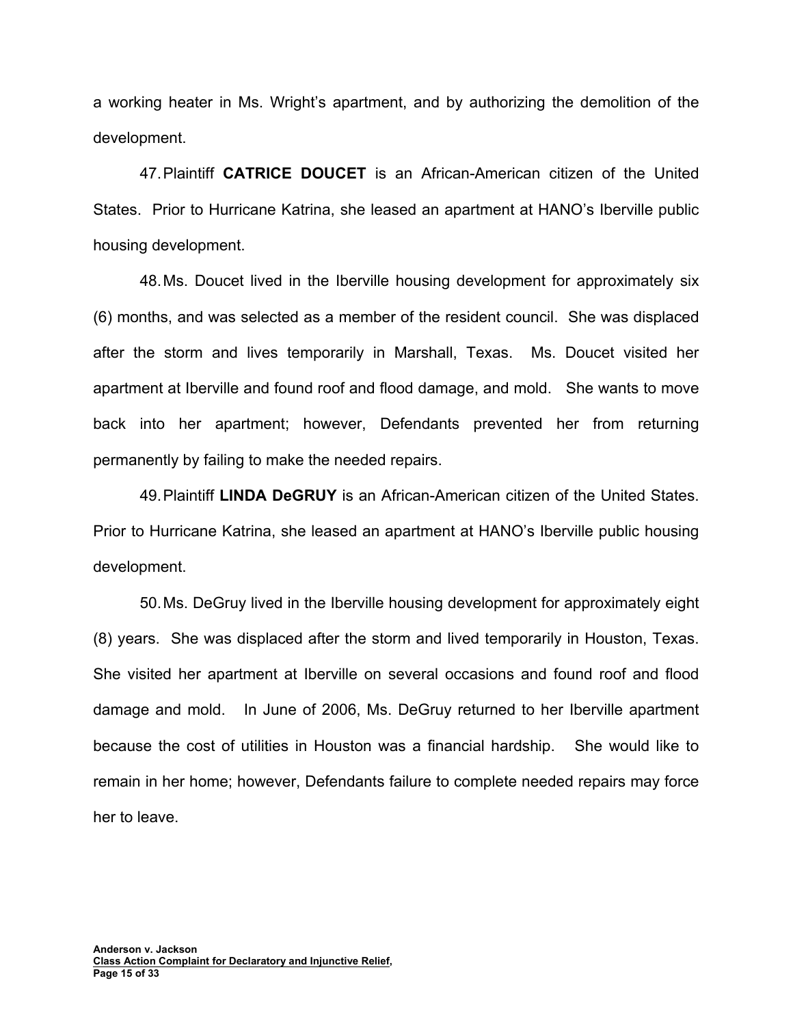a working heater in Ms. Wright's apartment, and by authorizing the demolition of the development.

47. Plaintiff **CATRICE DOUCET** is an African-American citizen of the United States. Prior to Hurricane Katrina, she leased an apartment at HANO's Iberville public housing development.

48. Ms. Doucet lived in the Iberville housing development for approximately six (6) months, and was selected as a member of the resident council. She was displaced after the storm and lives temporarily in Marshall, Texas. Ms. Doucet visited her apartment at Iberville and found roof and flood damage, and mold. She wants to move back into her apartment; however, Defendants prevented her from returning permanently by failing to make the needed repairs.

49. Plaintiff **LINDA DeGRUY** is an African-American citizen of the United States. Prior to Hurricane Katrina, she leased an apartment at HANO's Iberville public housing development.

50. Ms. DeGruy lived in the Iberville housing development for approximately eight (8) years. She was displaced after the storm and lived temporarily in Houston, Texas. She visited her apartment at Iberville on several occasions and found roof and flood damage and mold. In June of 2006, Ms. DeGruy returned to her Iberville apartment because the cost of utilities in Houston was a financial hardship. She would like to remain in her home; however, Defendants failure to complete needed repairs may force her to leave.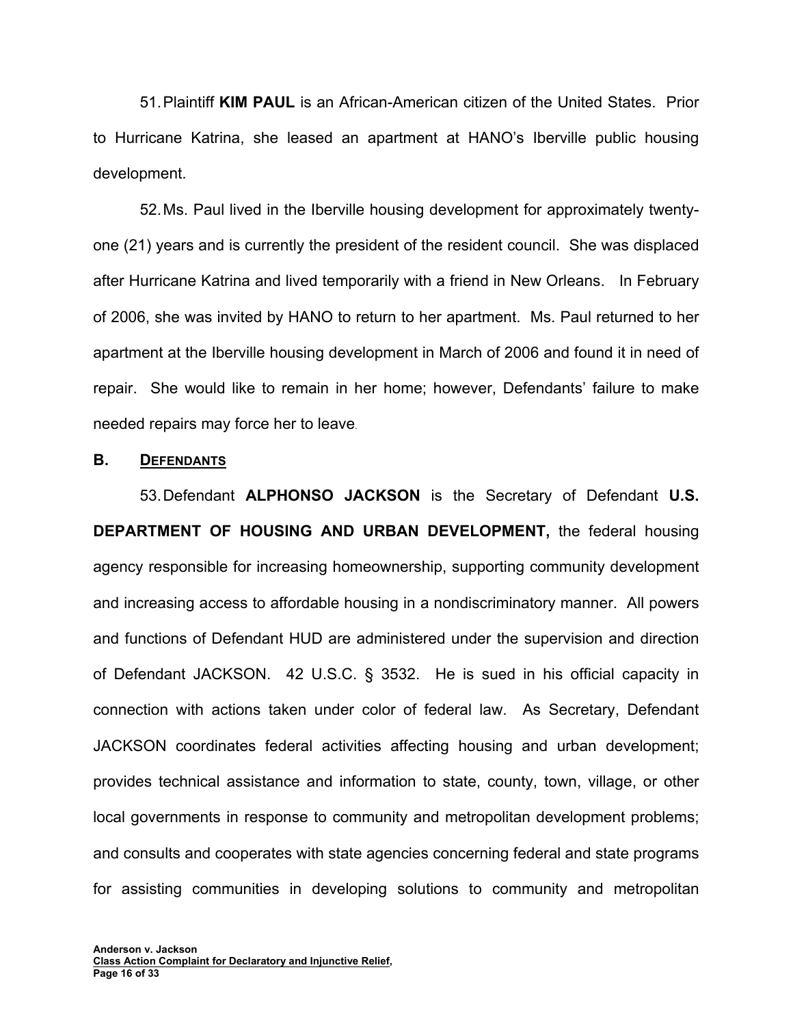51. Plaintiff **KIM PAUL** is an African-American citizen of the United States. Prior to Hurricane Katrina, she leased an apartment at HANO's Iberville public housing development.

52. Ms. Paul lived in the Iberville housing development for approximately twentyone (21) years and is currently the president of the resident council. She was displaced after Hurricane Katrina and lived temporarily with a friend in New Orleans. In February of 2006, she was invited by HANO to return to her apartment. Ms. Paul returned to her apartment at the Iberville housing development in March of 2006 and found it in need of repair. She would like to remain in her home; however, Defendants' failure to make needed repairs may force her to leave.

#### **B. DEFENDANTS**

53. Defendant **ALPHONSO JACKSON** is the Secretary of Defendant **U.S. DEPARTMENT OF HOUSING AND URBAN DEVELOPMENT,** the federal housing agency responsible for increasing homeownership, supporting community development and increasing access to affordable housing in a nondiscriminatory manner. All powers and functions of Defendant HUD are administered under the supervision and direction of Defendant JACKSON. 42 U.S.C. § 3532. He is sued in his official capacity in connection with actions taken under color of federal law. As Secretary, Defendant JACKSON coordinates federal activities affecting housing and urban development; provides technical assistance and information to state, county, town, village, or other local governments in response to community and metropolitan development problems; and consults and cooperates with state agencies concerning federal and state programs for assisting communities in developing solutions to community and metropolitan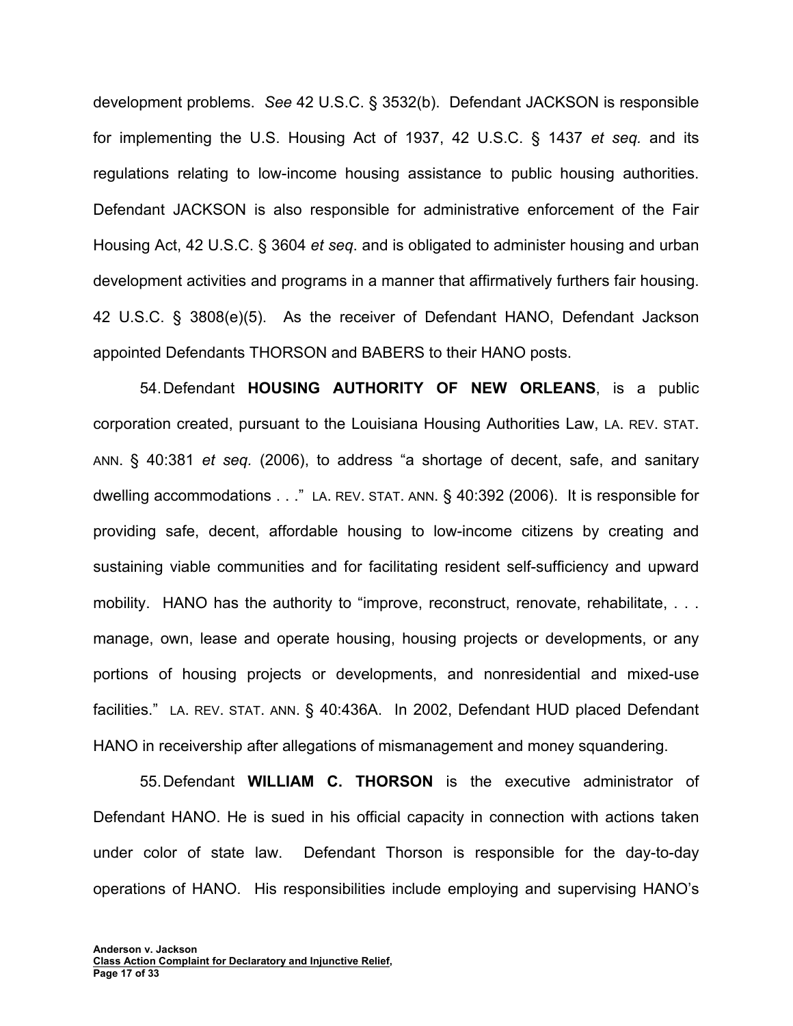development problems. *See* 42 U.S.C. § 3532(b). Defendant JACKSON is responsible for implementing the U.S. Housing Act of 1937, 42 U.S.C. § 1437 *et seq.* and its regulations relating to low-income housing assistance to public housing authorities. Defendant JACKSON is also responsible for administrative enforcement of the Fair Housing Act, 42 U.S.C. § 3604 *et seq*. and is obligated to administer housing and urban development activities and programs in a manner that affirmatively furthers fair housing. 42 U.S.C. § 3808(e)(5). As the receiver of Defendant HANO, Defendant Jackson appointed Defendants THORSON and BABERS to their HANO posts.

54. Defendant **HOUSING AUTHORITY OF NEW ORLEANS**, is a public corporation created, pursuant to the Louisiana Housing Authorities Law, LA. REV. STAT. ANN. § 40:381 *et seq.* (2006), to address "a shortage of decent, safe, and sanitary dwelling accommodations . . ." LA. REV. STAT. ANN. § 40:392 (2006). It is responsible for providing safe, decent, affordable housing to low-income citizens by creating and sustaining viable communities and for facilitating resident self-sufficiency and upward mobility. HANO has the authority to "improve, reconstruct, renovate, rehabilitate, ... manage, own, lease and operate housing, housing projects or developments, or any portions of housing projects or developments, and nonresidential and mixed-use facilities." LA. REV. STAT. ANN. § 40:436A. In 2002, Defendant HUD placed Defendant HANO in receivership after allegations of mismanagement and money squandering.

55. Defendant **WILLIAM C. THORSON** is the executive administrator of Defendant HANO. He is sued in his official capacity in connection with actions taken under color of state law. Defendant Thorson is responsible for the day-to-day operations of HANO. His responsibilities include employing and supervising HANO's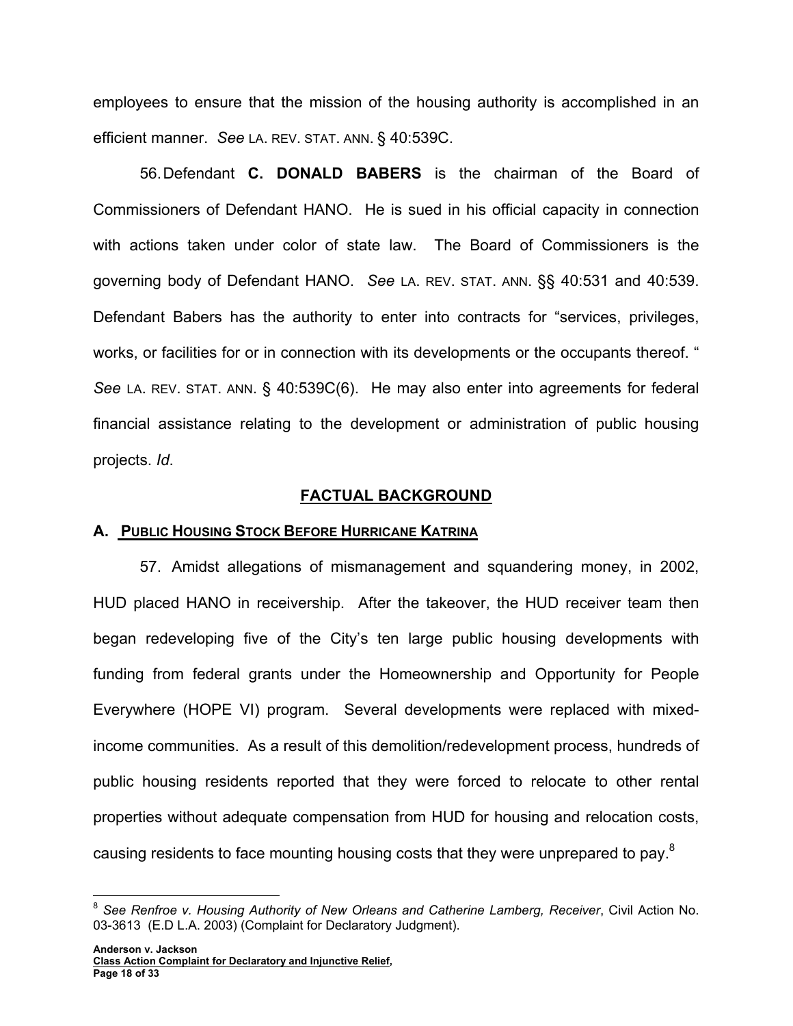employees to ensure that the mission of the housing authority is accomplished in an efficient manner. *See* LA. REV. STAT. ANN. § 40:539C.

56. Defendant **C. DONALD BABERS** is the chairman of the Board of Commissioners of Defendant HANO. He is sued in his official capacity in connection with actions taken under color of state law. The Board of Commissioners is the governing body of Defendant HANO. *See* LA. REV. STAT. ANN. §§ 40:531 and 40:539. Defendant Babers has the authority to enter into contracts for "services, privileges, works, or facilities for or in connection with its developments or the occupants thereof. " *See* LA. REV. STAT. ANN. § 40:539C(6). He may also enter into agreements for federal financial assistance relating to the development or administration of public housing projects. *Id*.

### **FACTUAL BACKGROUND**

### **A. PUBLIC HOUSING STOCK BEFORE HURRICANE KATRINA**

57. Amidst allegations of mismanagement and squandering money, in 2002, HUD placed HANO in receivership. After the takeover, the HUD receiver team then began redeveloping five of the City's ten large public housing developments with funding from federal grants under the Homeownership and Opportunity for People Everywhere (HOPE VI) program. Several developments were replaced with mixedincome communities. As a result of this demolition/redevelopment process, hundreds of public housing residents reported that they were forced to relocate to other rental properties without adequate compensation from HUD for housing and relocation costs, causing residents to face mounting housing costs that they were unprepared to pay.<sup>8</sup>

1

<sup>&</sup>lt;sup>8</sup> See Renfroe v. Housing Authority of New Orleans and Catherine Lamberg, Receiver, Civil Action No. 03-3613 (E.D L.A. 2003) (Complaint for Declaratory Judgment).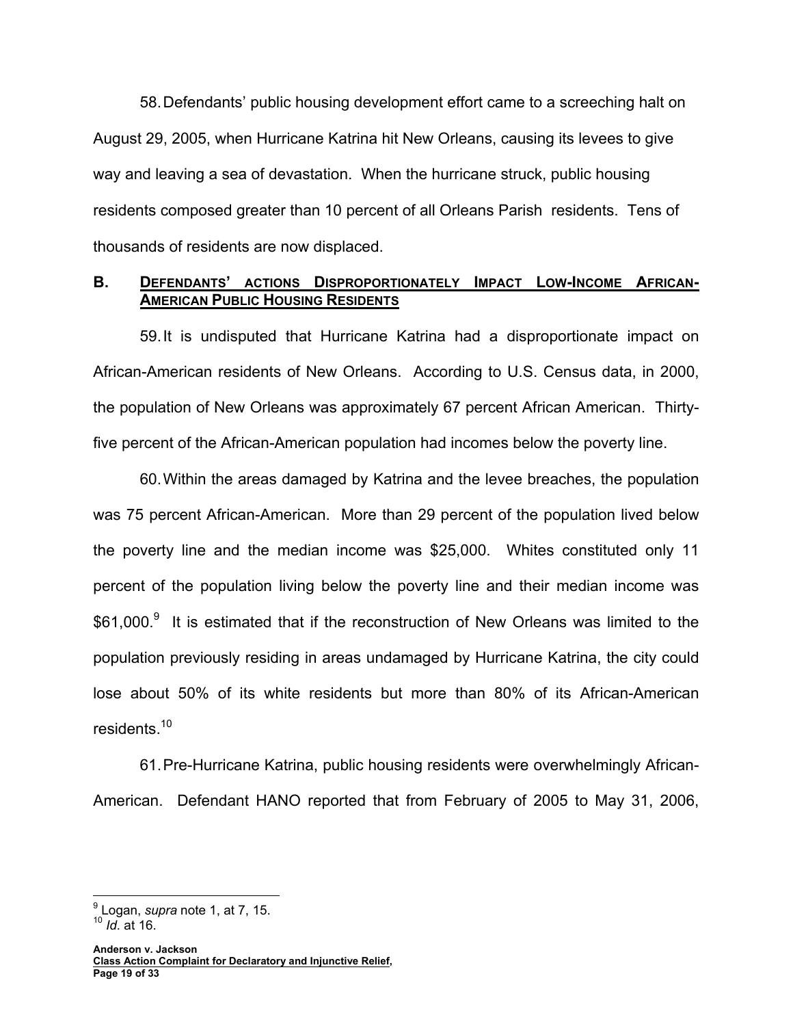58. Defendants' public housing development effort came to a screeching halt on August 29, 2005, when Hurricane Katrina hit New Orleans, causing its levees to give way and leaving a sea of devastation. When the hurricane struck, public housing residents composed greater than 10 percent of all Orleans Parish residents. Tens of thousands of residents are now displaced.

### B. DEFENDANTS' ACTIONS DISPROPORTIONATELY IMPACT LOW-INCOME AFRICAN-**AMERICAN PUBLIC HOUSING RESIDENTS**

59. It is undisputed that Hurricane Katrina had a disproportionate impact on African-American residents of New Orleans. According to U.S. Census data, in 2000, the population of New Orleans was approximately 67 percent African American. Thirtyfive percent of the African-American population had incomes below the poverty line.

60. Within the areas damaged by Katrina and the levee breaches, the population was 75 percent African-American. More than 29 percent of the population lived below the poverty line and the median income was \$25,000. Whites constituted only 11 percent of the population living below the poverty line and their median income was \$61,000.<sup>9</sup> It is estimated that if the reconstruction of New Orleans was limited to the population previously residing in areas undamaged by Hurricane Katrina, the city could lose about 50% of its white residents but more than 80% of its African-American residents.<sup>10</sup>

61. Pre-Hurricane Katrina, public housing residents were overwhelmingly African-American. Defendant HANO reported that from February of 2005 to May 31, 2006,

 $\overline{a}$ 

<sup>9</sup> Logan, *supra* note 1, at 7, 15.

<sup>10</sup> *Id.* at 16.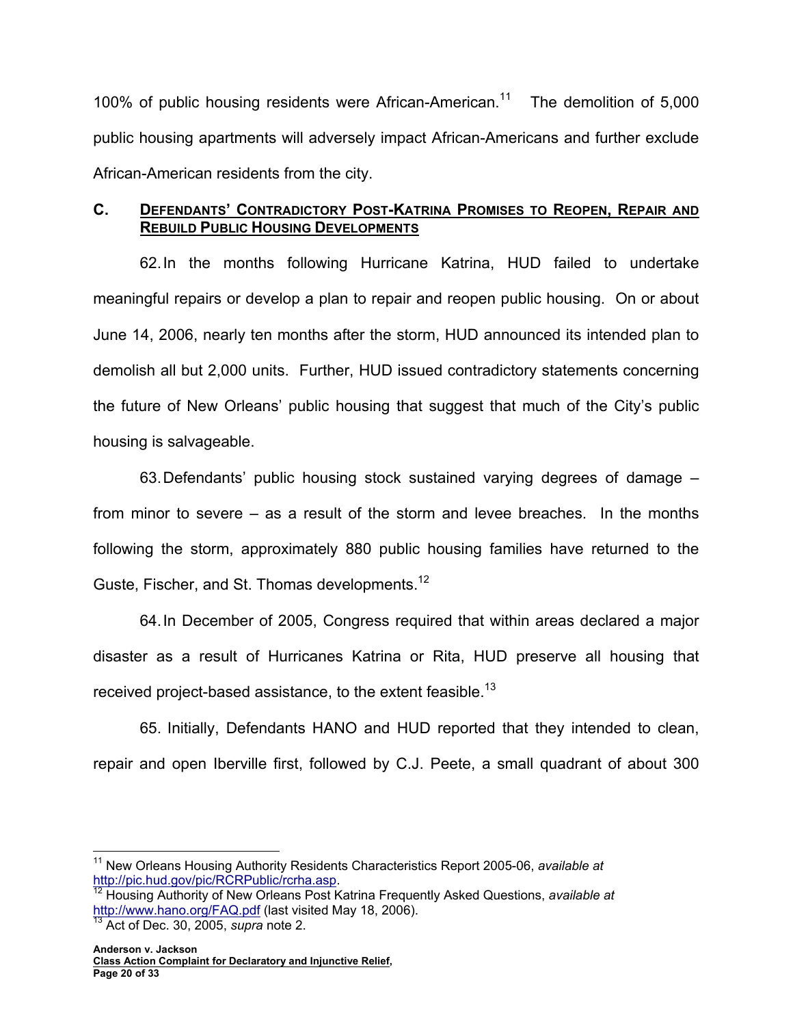100% of public housing residents were African-American.<sup>11</sup> The demolition of 5,000 public housing apartments will adversely impact African-Americans and further exclude African-American residents from the city.

# **C. DEFENDANTS' CONTRADICTORY POST-KATRINA PROMISES TO REOPEN, REPAIR AND REBUILD PUBLIC HOUSING DEVELOPMENTS**

62. In the months following Hurricane Katrina, HUD failed to undertake meaningful repairs or develop a plan to repair and reopen public housing. On or about June 14, 2006, nearly ten months after the storm, HUD announced its intended plan to demolish all but 2,000 units. Further, HUD issued contradictory statements concerning the future of New Orleans' public housing that suggest that much of the City's public housing is salvageable.

63. Defendants' public housing stock sustained varying degrees of damage – from minor to severe – as a result of the storm and levee breaches. In the months following the storm, approximately 880 public housing families have returned to the Guste, Fischer, and St. Thomas developments.<sup>12</sup>

64. In December of 2005, Congress required that within areas declared a major disaster as a result of Hurricanes Katrina or Rita, HUD preserve all housing that received project-based assistance, to the extent feasible.<sup>13</sup>

65. Initially, Defendants HANO and HUD reported that they intended to clean, repair and open Iberville first, followed by C.J. Peete, a small quadrant of about 300

 $\overline{a}$ <sup>11</sup> New Orleans Housing Authority Residents Characteristics Report 2005-06, *available at* http://pic.hud.gov/pic/RCRPublic/rcrha.asp.

<sup>&</sup>lt;sup>12</sup> Housing Authority of New Orleans Post Katrina Frequently Asked Questions, *available at* http://www.hano.org/FAQ.pdf (last visited May 18, 2006). 13 Act of Dec. 30, 2005, *supra* note 2.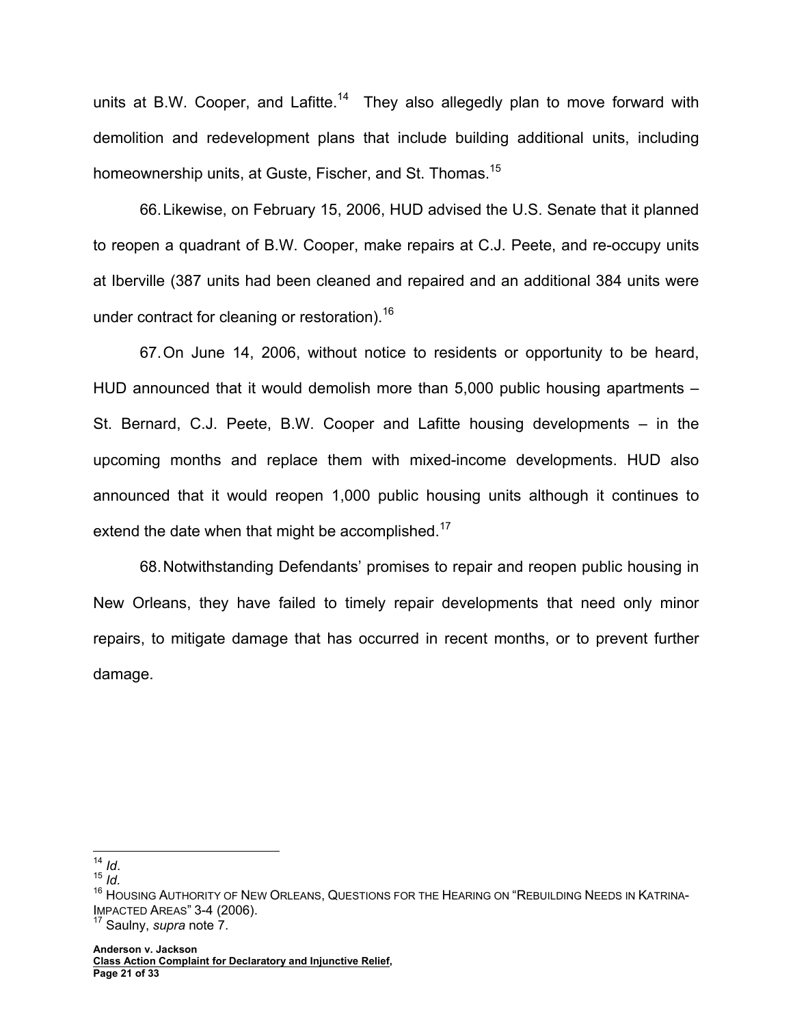units at B.W. Cooper, and Lafitte.<sup>14</sup> They also allegedly plan to move forward with demolition and redevelopment plans that include building additional units, including homeownership units, at Guste, Fischer, and St. Thomas.<sup>15</sup>

66. Likewise, on February 15, 2006, HUD advised the U.S. Senate that it planned to reopen a quadrant of B.W. Cooper, make repairs at C.J. Peete, and re-occupy units at Iberville (387 units had been cleaned and repaired and an additional 384 units were under contract for cleaning or restoration).<sup>16</sup>

67. On June 14, 2006, without notice to residents or opportunity to be heard, HUD announced that it would demolish more than 5,000 public housing apartments – St. Bernard, C.J. Peete, B.W. Cooper and Lafitte housing developments – in the upcoming months and replace them with mixed-income developments. HUD also announced that it would reopen 1,000 public housing units although it continues to extend the date when that might be accomplished.<sup>17</sup>

68. Notwithstanding Defendants' promises to repair and reopen public housing in New Orleans, they have failed to timely repair developments that need only minor repairs, to mitigate damage that has occurred in recent months, or to prevent further damage.

 $14$  Id.

 $15$  *Id.* 

<sup>&</sup>lt;sup>16</sup> HOUSING AUTHORITY OF NEW ORLEANS, QUESTIONS FOR THE HEARING ON "REBUILDING NEEDS IN KATRINA-IMPACTED AREAS" 3-4 (2006). 17 Saulny, *supra* note 7.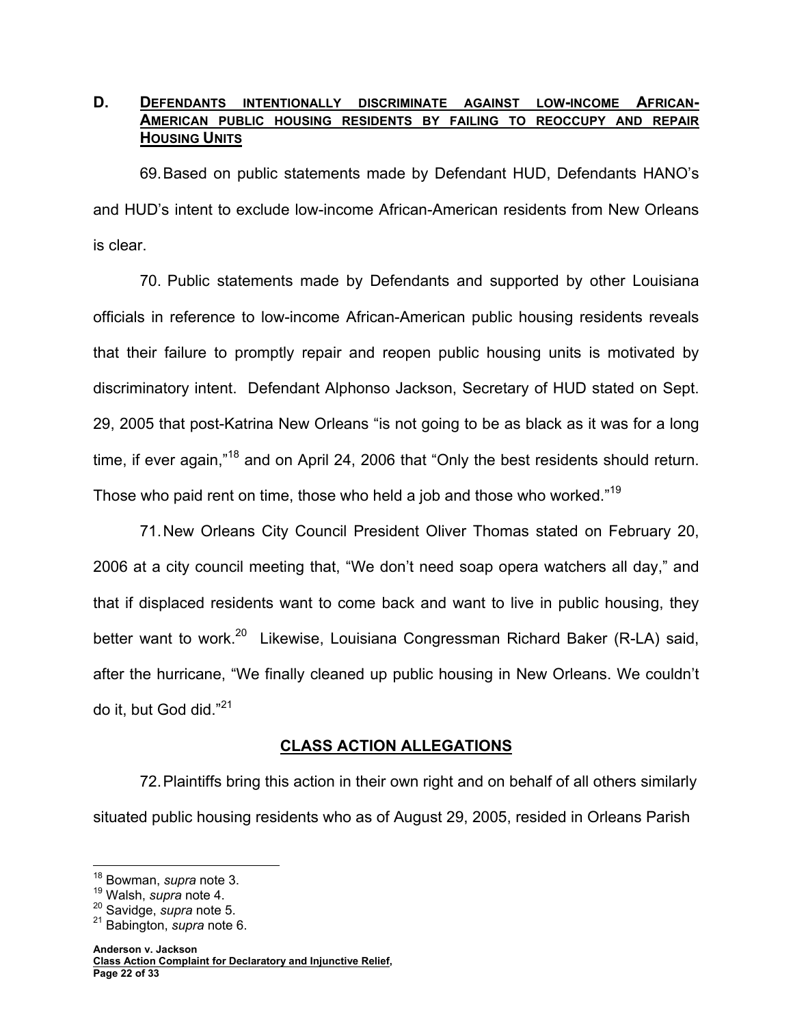## D. DEFENDANTS INTENTIONALLY DISCRIMINATE AGAINST LOW-INCOME AFRICAN-**AMERICAN PUBLIC HOUSING RESIDENTS BY FAILING TO REOCCUPY AND REPAIR HOUSING UNITS**

69. Based on public statements made by Defendant HUD, Defendants HANO's and HUD's intent to exclude low-income African-American residents from New Orleans is clear.

70. Public statements made by Defendants and supported by other Louisiana officials in reference to low-income African-American public housing residents reveals that their failure to promptly repair and reopen public housing units is motivated by discriminatory intent. Defendant Alphonso Jackson, Secretary of HUD stated on Sept. 29, 2005 that post-Katrina New Orleans "is not going to be as black as it was for a long time, if ever again,"<sup>18</sup> and on April 24, 2006 that "Only the best residents should return. Those who paid rent on time, those who held a job and those who worked."<sup>19</sup>

71. New Orleans City Council President Oliver Thomas stated on February 20, 2006 at a city council meeting that, "We don't need soap opera watchers all day," and that if displaced residents want to come back and want to live in public housing, they better want to work.<sup>20</sup> Likewise, Louisiana Congressman Richard Baker (R-LA) said, after the hurricane, "We finally cleaned up public housing in New Orleans. We couldn't do it, but God did."<sup>21</sup>

## **CLASS ACTION ALLEGATIONS**

72. Plaintiffs bring this action in their own right and on behalf of all others similarly situated public housing residents who as of August 29, 2005, resided in Orleans Parish

 $\overline{a}$ 18 Bowman, *supra* note 3.

<sup>19</sup> Walsh, *supra* note 4.

<sup>20</sup> Savidge, *supra* note 5.

<sup>21</sup> Babington, *supra* note 6.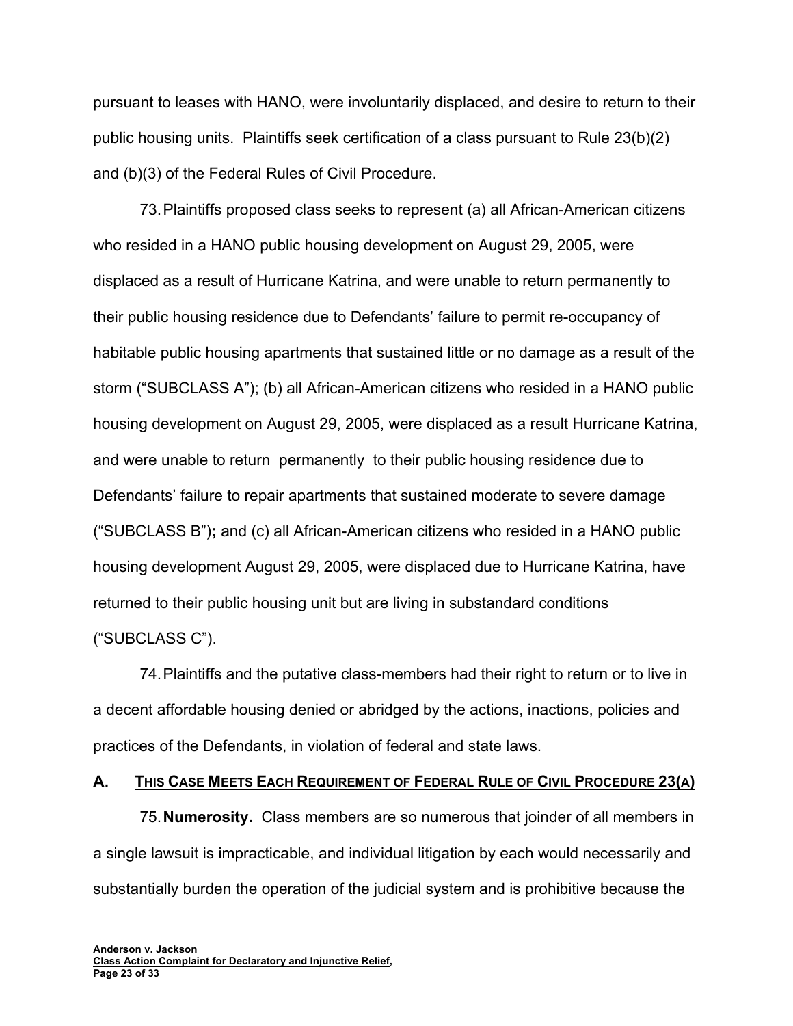pursuant to leases with HANO, were involuntarily displaced, and desire to return to their public housing units. Plaintiffs seek certification of a class pursuant to Rule 23(b)(2) and (b)(3) of the Federal Rules of Civil Procedure.

73. Plaintiffs proposed class seeks to represent (a) all African-American citizens who resided in a HANO public housing development on August 29, 2005, were displaced as a result of Hurricane Katrina, and were unable to return permanently to their public housing residence due to Defendants' failure to permit re-occupancy of habitable public housing apartments that sustained little or no damage as a result of the storm ("SUBCLASS A"); (b) all African-American citizens who resided in a HANO public housing development on August 29, 2005, were displaced as a result Hurricane Katrina, and were unable to return permanently to their public housing residence due to Defendants' failure to repair apartments that sustained moderate to severe damage ("SUBCLASS B")**;** and (c) all African-American citizens who resided in a HANO public housing development August 29, 2005, were displaced due to Hurricane Katrina, have returned to their public housing unit but are living in substandard conditions ("SUBCLASS C").

74. Plaintiffs and the putative class-members had their right to return or to live in a decent affordable housing denied or abridged by the actions, inactions, policies and practices of the Defendants, in violation of federal and state laws.

### **A. THIS CASE MEETS EACH REQUIREMENT OF FEDERAL RULE OF CIVIL PROCEDURE 23(A)**

75. **Numerosity.** Class members are so numerous that joinder of all members in a single lawsuit is impracticable, and individual litigation by each would necessarily and substantially burden the operation of the judicial system and is prohibitive because the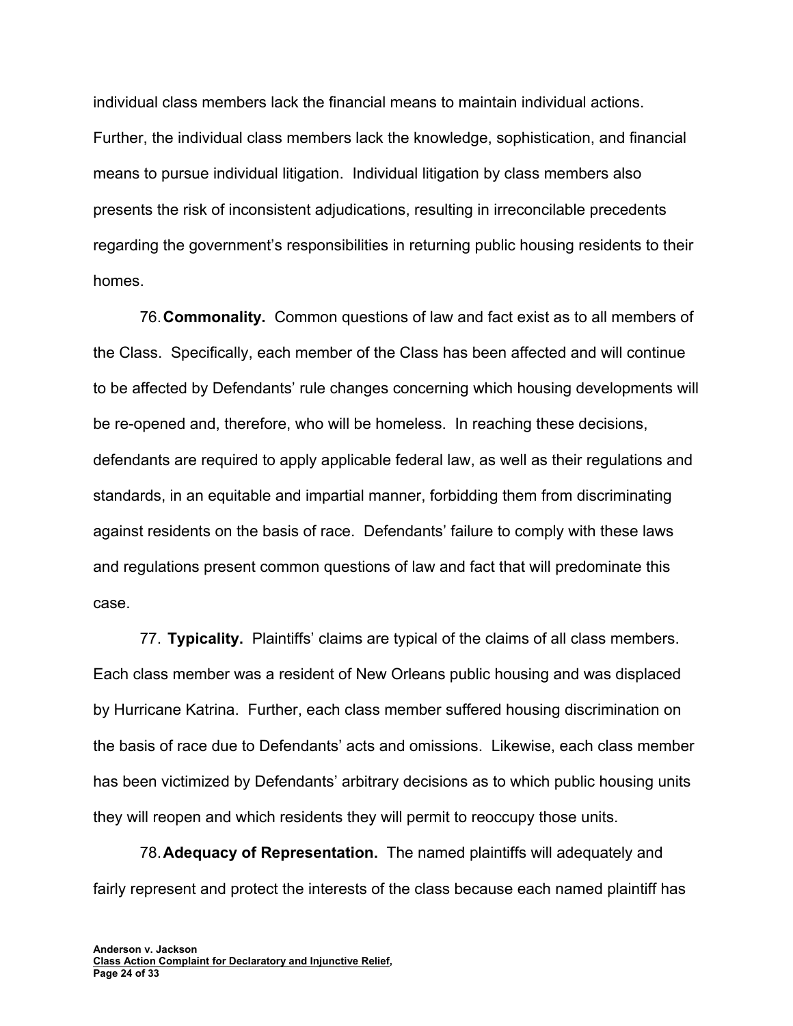individual class members lack the financial means to maintain individual actions. Further, the individual class members lack the knowledge, sophistication, and financial means to pursue individual litigation. Individual litigation by class members also presents the risk of inconsistent adjudications, resulting in irreconcilable precedents regarding the government's responsibilities in returning public housing residents to their homes.

76. **Commonality.** Common questions of law and fact exist as to all members of the Class. Specifically, each member of the Class has been affected and will continue to be affected by Defendants' rule changes concerning which housing developments will be re-opened and, therefore, who will be homeless. In reaching these decisions, defendants are required to apply applicable federal law, as well as their regulations and standards, in an equitable and impartial manner, forbidding them from discriminating against residents on the basis of race. Defendants' failure to comply with these laws and regulations present common questions of law and fact that will predominate this case.

77. **Typicality.** Plaintiffs' claims are typical of the claims of all class members. Each class member was a resident of New Orleans public housing and was displaced by Hurricane Katrina. Further, each class member suffered housing discrimination on the basis of race due to Defendants' acts and omissions. Likewise, each class member has been victimized by Defendants' arbitrary decisions as to which public housing units they will reopen and which residents they will permit to reoccupy those units.

78. **Adequacy of Representation.** The named plaintiffs will adequately and fairly represent and protect the interests of the class because each named plaintiff has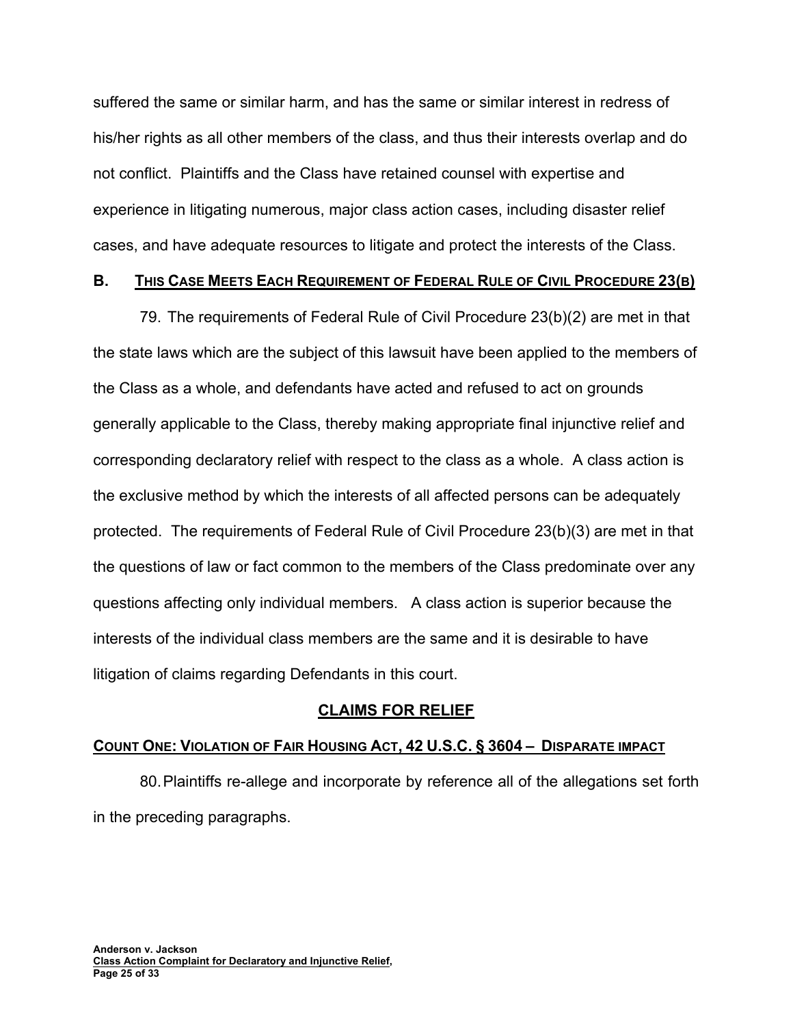suffered the same or similar harm, and has the same or similar interest in redress of his/her rights as all other members of the class, and thus their interests overlap and do not conflict. Plaintiffs and the Class have retained counsel with expertise and experience in litigating numerous, major class action cases, including disaster relief cases, and have adequate resources to litigate and protect the interests of the Class.

### **B. THIS CASE MEETS EACH REQUIREMENT OF FEDERAL RULE OF CIVIL PROCEDURE 23(B)**

79. The requirements of Federal Rule of Civil Procedure 23(b)(2) are met in that the state laws which are the subject of this lawsuit have been applied to the members of the Class as a whole, and defendants have acted and refused to act on grounds generally applicable to the Class, thereby making appropriate final injunctive relief and corresponding declaratory relief with respect to the class as a whole. A class action is the exclusive method by which the interests of all affected persons can be adequately protected. The requirements of Federal Rule of Civil Procedure 23(b)(3) are met in that the questions of law or fact common to the members of the Class predominate over any questions affecting only individual members. A class action is superior because the interests of the individual class members are the same and it is desirable to have litigation of claims regarding Defendants in this court.

## **CLAIMS FOR RELIEF**

## **COUNT ONE: VIOLATION OF FAIR HOUSING ACT, 42 U.S.C. § 3604 – DISPARATE IMPACT**

80. Plaintiffs re-allege and incorporate by reference all of the allegations set forth in the preceding paragraphs.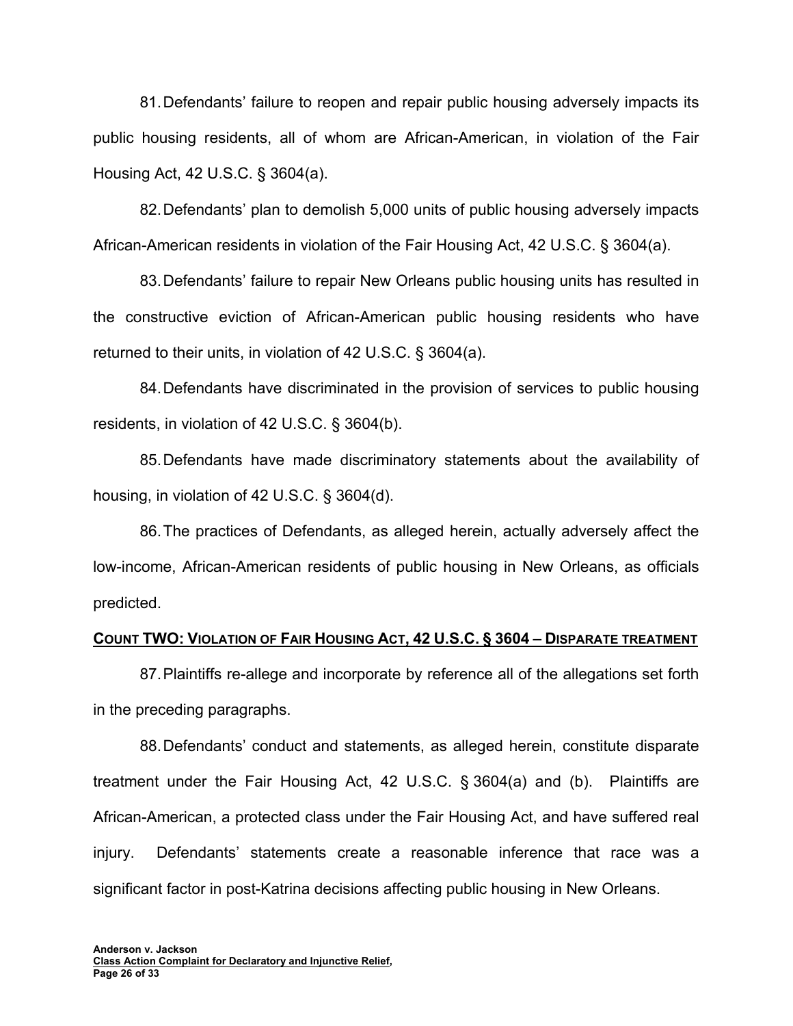81. Defendants' failure to reopen and repair public housing adversely impacts its public housing residents, all of whom are African-American, in violation of the Fair Housing Act, 42 U.S.C. § 3604(a).

82. Defendants' plan to demolish 5,000 units of public housing adversely impacts African-American residents in violation of the Fair Housing Act, 42 U.S.C. § 3604(a).

83. Defendants' failure to repair New Orleans public housing units has resulted in the constructive eviction of African-American public housing residents who have returned to their units, in violation of 42 U.S.C. § 3604(a).

84. Defendants have discriminated in the provision of services to public housing residents, in violation of 42 U.S.C. § 3604(b).

85. Defendants have made discriminatory statements about the availability of housing, in violation of 42 U.S.C. § 3604(d).

86. The practices of Defendants, as alleged herein, actually adversely affect the low-income, African-American residents of public housing in New Orleans, as officials predicted.

#### **COUNT TWO: VIOLATION OF FAIR HOUSING ACT, 42 U.S.C. § 3604 – DISPARATE TREATMENT**

87. Plaintiffs re-allege and incorporate by reference all of the allegations set forth in the preceding paragraphs.

88. Defendants' conduct and statements, as alleged herein, constitute disparate treatment under the Fair Housing Act, 42 U.S.C. § 3604(a) and (b). Plaintiffs are African-American, a protected class under the Fair Housing Act, and have suffered real injury. Defendants' statements create a reasonable inference that race was a significant factor in post-Katrina decisions affecting public housing in New Orleans.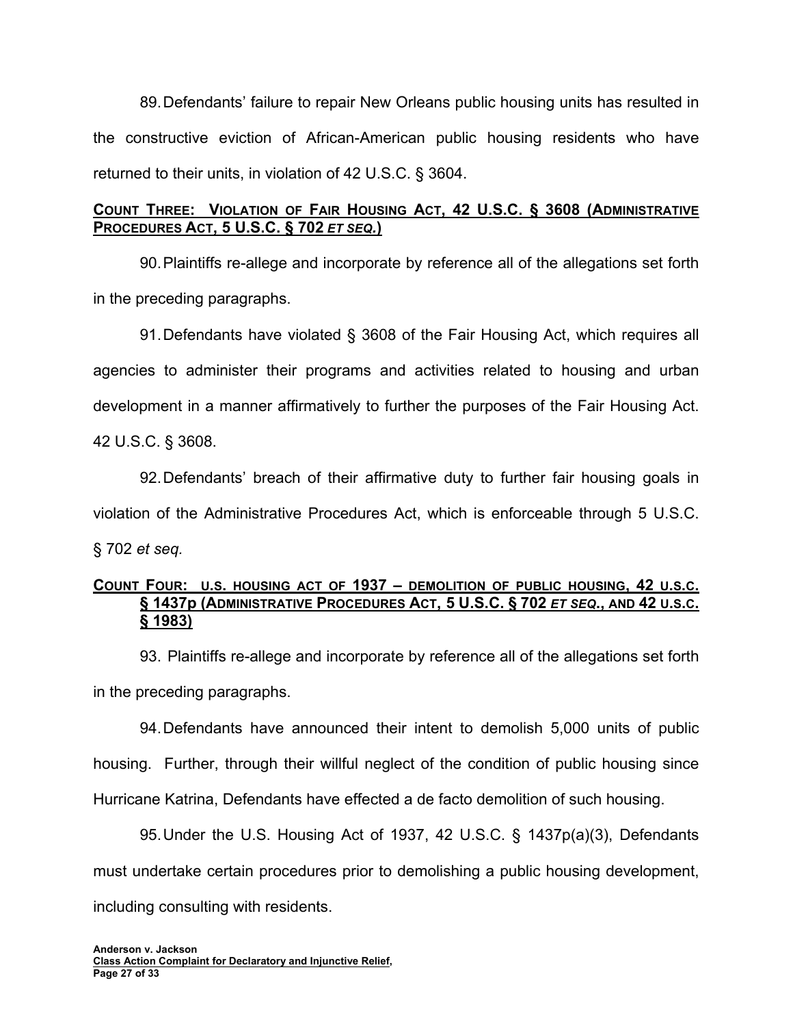89. Defendants' failure to repair New Orleans public housing units has resulted in the constructive eviction of African-American public housing residents who have returned to their units, in violation of 42 U.S.C. § 3604.

# **COUNT THREE: VIOLATION OF FAIR HOUSING ACT, 42 U.S.C. § 3608 (ADMINISTRATIVE PROCEDURES ACT, 5 U.S.C. § 702** *ET SEQ.***)**

90. Plaintiffs re-allege and incorporate by reference all of the allegations set forth in the preceding paragraphs.

91. Defendants have violated § 3608 of the Fair Housing Act, which requires all agencies to administer their programs and activities related to housing and urban development in a manner affirmatively to further the purposes of the Fair Housing Act. 42 U.S.C. § 3608.

92. Defendants' breach of their affirmative duty to further fair housing goals in violation of the Administrative Procedures Act, which is enforceable through 5 U.S.C. § 702 *et seq.*

## **COUNT FOUR: U.S. HOUSING ACT OF 1937 – DEMOLITION OF PUBLIC HOUSING, 42 U.S.C. § 1437p (ADMINISTRATIVE PROCEDURES ACT, 5 U.S.C. § 702** *ET SEQ***., AND 42 U.S.C. § 1983)**

93. Plaintiffs re-allege and incorporate by reference all of the allegations set forth in the preceding paragraphs.

94. Defendants have announced their intent to demolish 5,000 units of public housing. Further, through their willful neglect of the condition of public housing since Hurricane Katrina, Defendants have effected a de facto demolition of such housing.

95. Under the U.S. Housing Act of 1937, 42 U.S.C. § 1437p(a)(3), Defendants must undertake certain procedures prior to demolishing a public housing development, including consulting with residents.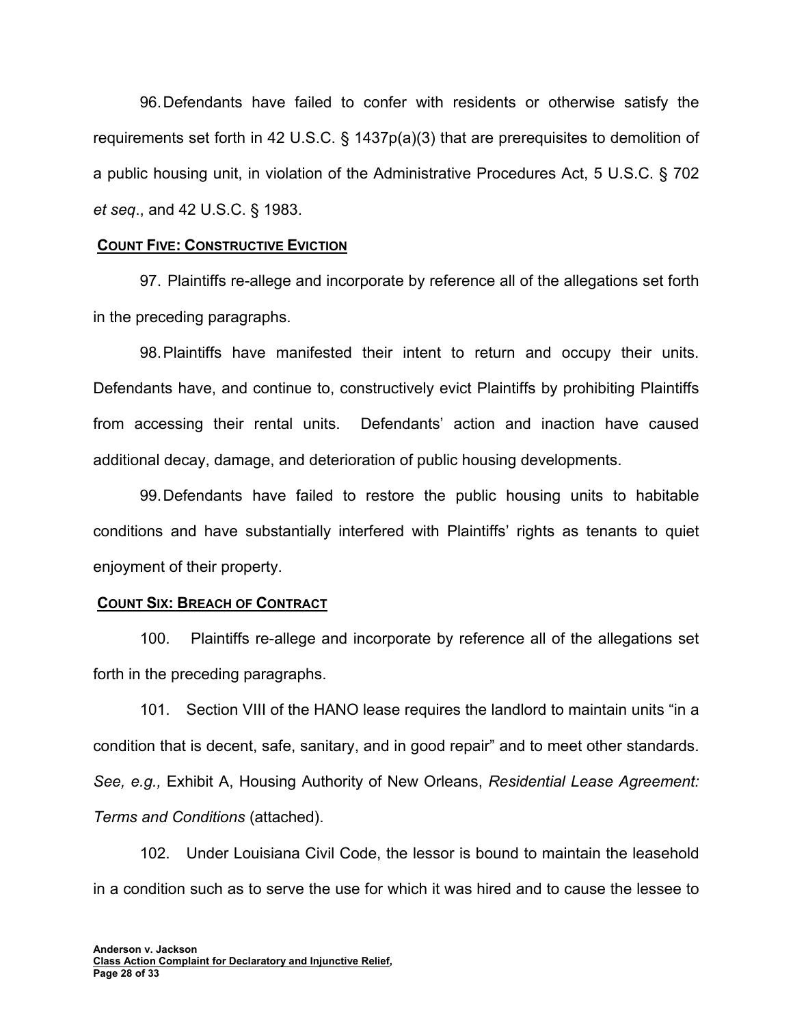96. Defendants have failed to confer with residents or otherwise satisfy the requirements set forth in 42 U.S.C. § 1437p(a)(3) that are prerequisites to demolition of a public housing unit, in violation of the Administrative Procedures Act, 5 U.S.C. § 702 *et seq*., and 42 U.S.C. § 1983.

#### **COUNT FIVE: CONSTRUCTIVE EVICTION**

97. Plaintiffs re-allege and incorporate by reference all of the allegations set forth in the preceding paragraphs.

98. Plaintiffs have manifested their intent to return and occupy their units. Defendants have, and continue to, constructively evict Plaintiffs by prohibiting Plaintiffs from accessing their rental units. Defendants' action and inaction have caused additional decay, damage, and deterioration of public housing developments.

99. Defendants have failed to restore the public housing units to habitable conditions and have substantially interfered with Plaintiffs' rights as tenants to quiet enjoyment of their property.

### **COUNT SIX: BREACH OF CONTRACT**

100. Plaintiffs re-allege and incorporate by reference all of the allegations set forth in the preceding paragraphs.

101. Section VIII of the HANO lease requires the landlord to maintain units "in a condition that is decent, safe, sanitary, and in good repair" and to meet other standards. *See, e.g.,* Exhibit A, Housing Authority of New Orleans, *Residential Lease Agreement: Terms and Conditions* (attached).

102. Under Louisiana Civil Code, the lessor is bound to maintain the leasehold in a condition such as to serve the use for which it was hired and to cause the lessee to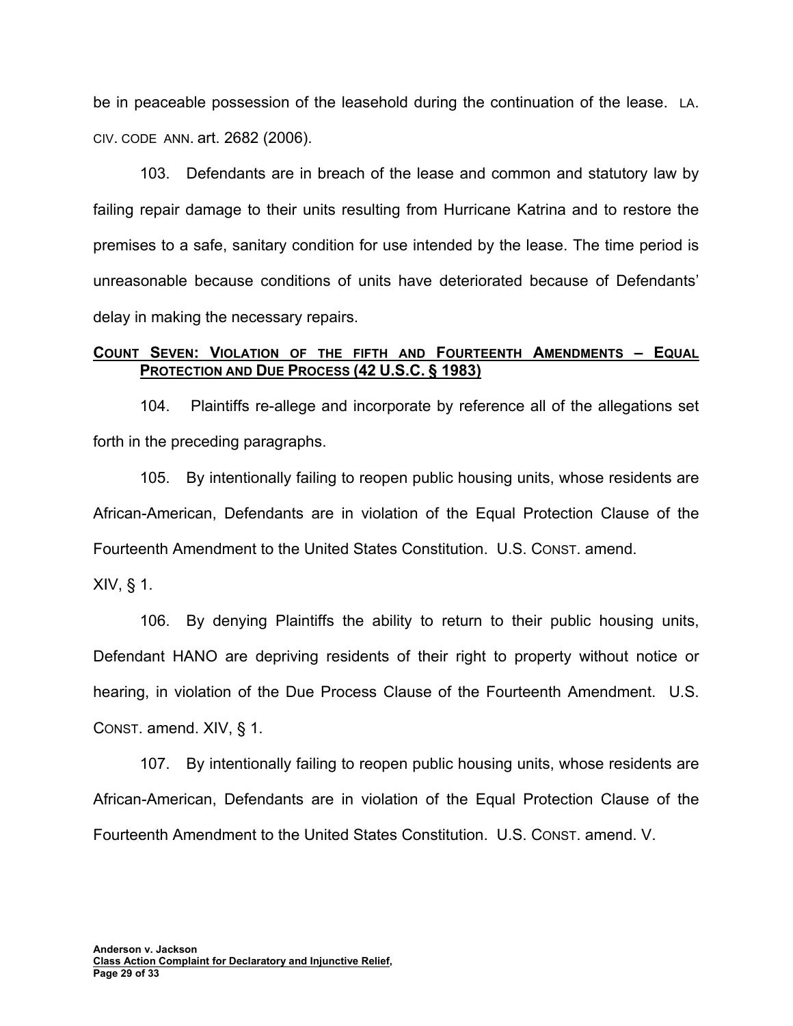be in peaceable possession of the leasehold during the continuation of the lease. LA. CIV. CODE ANN. art. 2682 (2006).

103. Defendants are in breach of the lease and common and statutory law by failing repair damage to their units resulting from Hurricane Katrina and to restore the premises to a safe, sanitary condition for use intended by the lease. The time period is unreasonable because conditions of units have deteriorated because of Defendants' delay in making the necessary repairs.

## **COUNT SEVEN: VIOLATION OF THE FIFTH AND FOURTEENTH AMENDMENTS – EQUAL PROTECTION AND DUE PROCESS (42 U.S.C. § 1983)**

104. Plaintiffs re-allege and incorporate by reference all of the allegations set forth in the preceding paragraphs.

105. By intentionally failing to reopen public housing units, whose residents are African-American, Defendants are in violation of the Equal Protection Clause of the Fourteenth Amendment to the United States Constitution. U.S. CONST. amend.

XIV, § 1.

106. By denying Plaintiffs the ability to return to their public housing units, Defendant HANO are depriving residents of their right to property without notice or hearing, in violation of the Due Process Clause of the Fourteenth Amendment. U.S. CONST. amend. XIV, § 1.

107. By intentionally failing to reopen public housing units, whose residents are African-American, Defendants are in violation of the Equal Protection Clause of the Fourteenth Amendment to the United States Constitution. U.S. CONST. amend. V.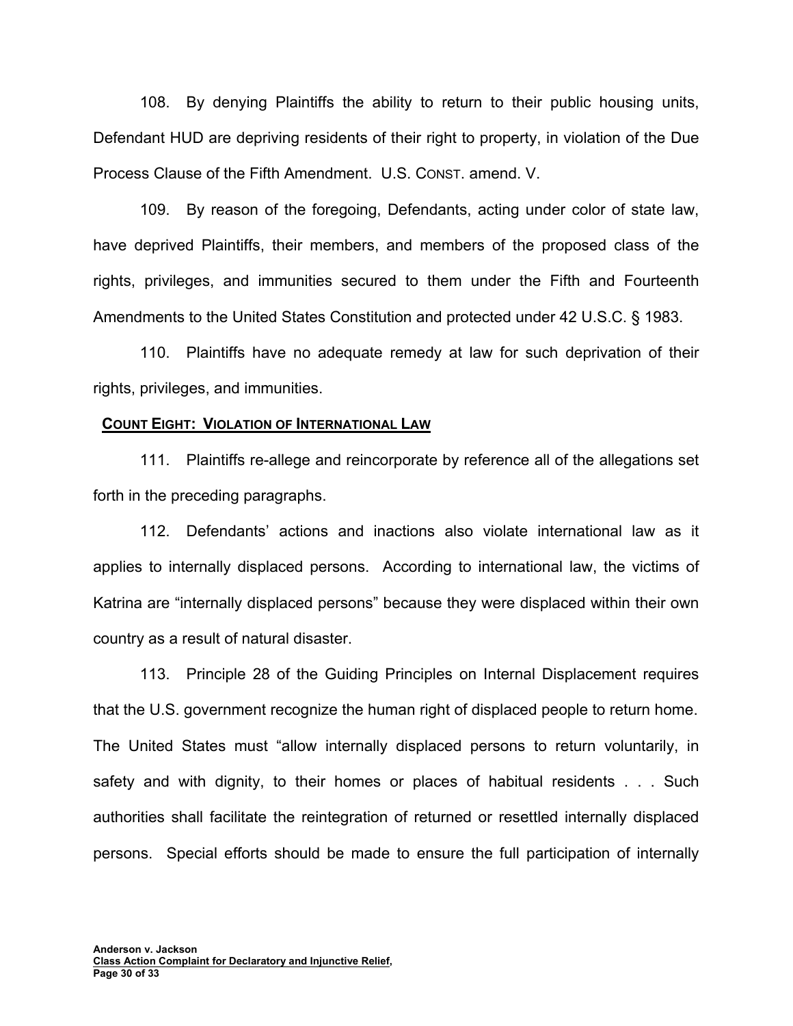108. By denying Plaintiffs the ability to return to their public housing units, Defendant HUD are depriving residents of their right to property, in violation of the Due Process Clause of the Fifth Amendment. U.S. CONST. amend. V.

109. By reason of the foregoing, Defendants, acting under color of state law, have deprived Plaintiffs, their members, and members of the proposed class of the rights, privileges, and immunities secured to them under the Fifth and Fourteenth Amendments to the United States Constitution and protected under 42 U.S.C. § 1983.

110. Plaintiffs have no adequate remedy at law for such deprivation of their rights, privileges, and immunities.

#### **COUNT EIGHT: VIOLATION OF INTERNATIONAL LAW**

111. Plaintiffs re-allege and reincorporate by reference all of the allegations set forth in the preceding paragraphs.

112. Defendants' actions and inactions also violate international law as it applies to internally displaced persons. According to international law, the victims of Katrina are "internally displaced persons" because they were displaced within their own country as a result of natural disaster.

113. Principle 28 of the Guiding Principles on Internal Displacement requires that the U.S. government recognize the human right of displaced people to return home. The United States must "allow internally displaced persons to return voluntarily, in safety and with dignity, to their homes or places of habitual residents . . . Such authorities shall facilitate the reintegration of returned or resettled internally displaced persons. Special efforts should be made to ensure the full participation of internally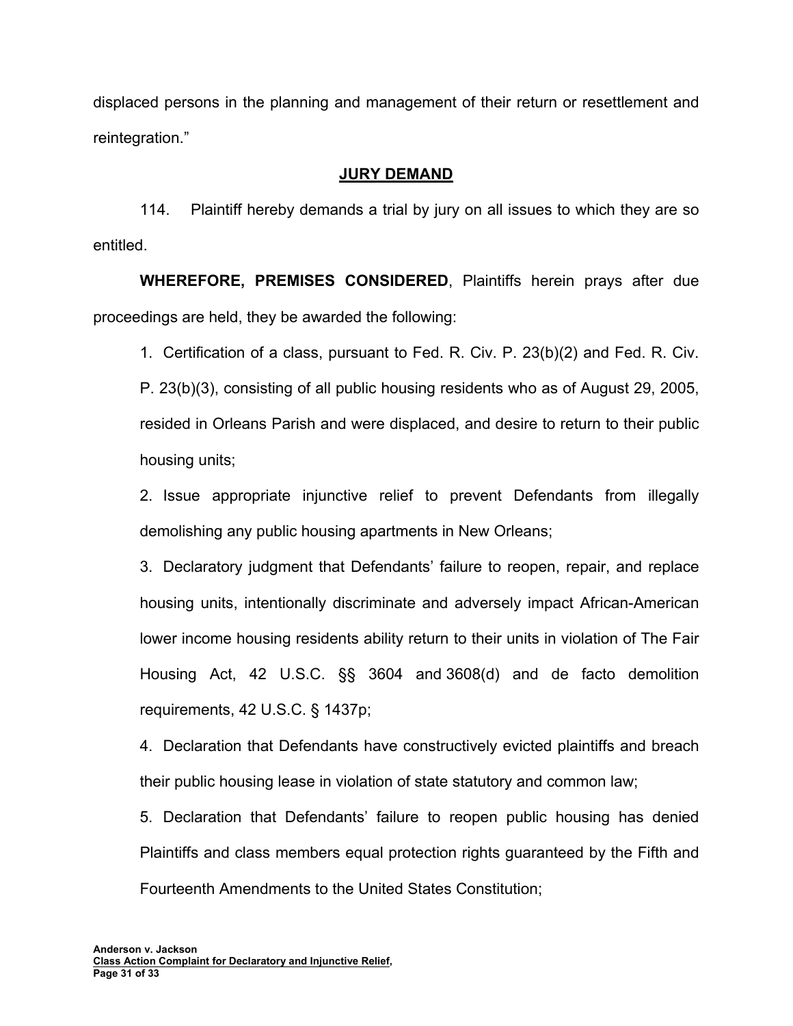displaced persons in the planning and management of their return or resettlement and reintegration."

## **JURY DEMAND**

114. Plaintiff hereby demands a trial by jury on all issues to which they are so entitled.

**WHEREFORE, PREMISES CONSIDERED**, Plaintiffs herein prays after due proceedings are held, they be awarded the following:

1. Certification of a class, pursuant to Fed. R. Civ. P. 23(b)(2) and Fed. R. Civ. P. 23(b)(3), consisting of all public housing residents who as of August 29, 2005, resided in Orleans Parish and were displaced, and desire to return to their public housing units;

2. Issue appropriate injunctive relief to prevent Defendants from illegally demolishing any public housing apartments in New Orleans;

3. Declaratory judgment that Defendants' failure to reopen, repair, and replace housing units, intentionally discriminate and adversely impact African-American lower income housing residents ability return to their units in violation of The Fair Housing Act, 42 U.S.C. §§ 3604 and 3608(d) and de facto demolition requirements, 42 U.S.C. § 1437p;

4. Declaration that Defendants have constructively evicted plaintiffs and breach their public housing lease in violation of state statutory and common law;

5. Declaration that Defendants' failure to reopen public housing has denied Plaintiffs and class members equal protection rights guaranteed by the Fifth and Fourteenth Amendments to the United States Constitution;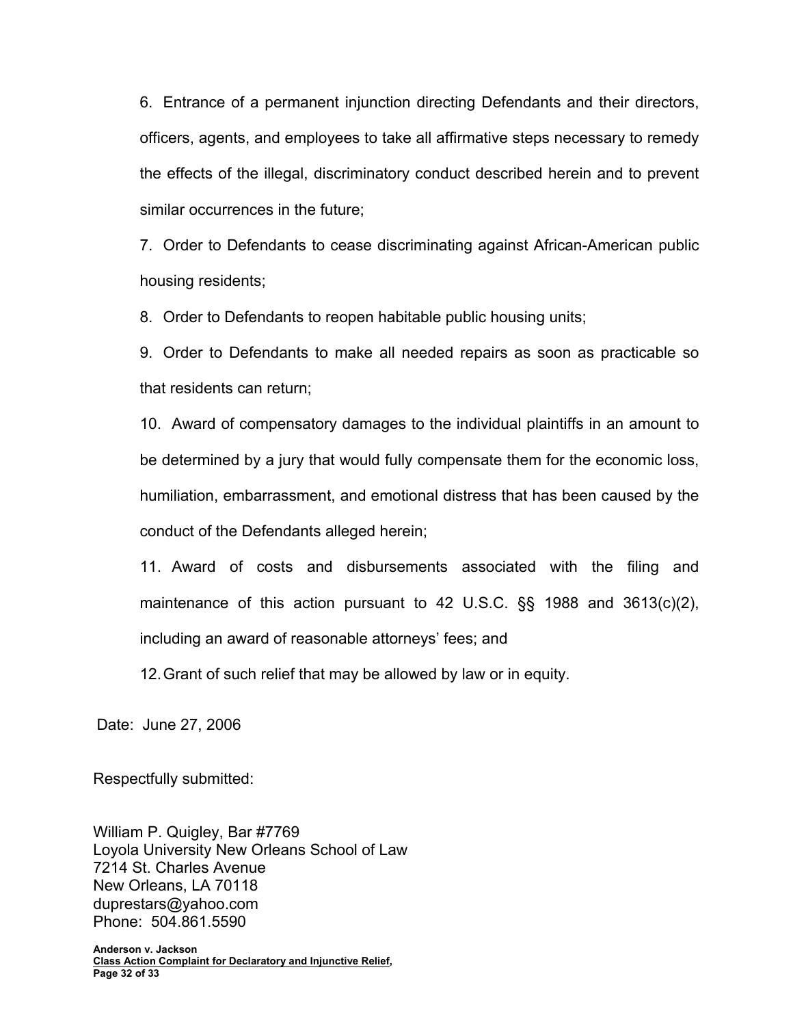6. Entrance of a permanent injunction directing Defendants and their directors, officers, agents, and employees to take all affirmative steps necessary to remedy the effects of the illegal, discriminatory conduct described herein and to prevent similar occurrences in the future;

7. Order to Defendants to cease discriminating against African-American public housing residents;

8. Order to Defendants to reopen habitable public housing units;

9. Order to Defendants to make all needed repairs as soon as practicable so that residents can return;

10. Award of compensatory damages to the individual plaintiffs in an amount to be determined by a jury that would fully compensate them for the economic loss, humiliation, embarrassment, and emotional distress that has been caused by the conduct of the Defendants alleged herein;

11. Award of costs and disbursements associated with the filing and maintenance of this action pursuant to 42 U.S.C. §§ 1988 and 3613(c)(2), including an award of reasonable attorneys' fees; and

12. Grant of such relief that may be allowed by law or in equity.

Date: June 27, 2006

Respectfully submitted:

William P. Quigley, Bar #7769 Loyola University New Orleans School of Law 7214 St. Charles Avenue New Orleans, LA 70118 duprestars@yahoo.com Phone: 504.861.5590

**Anderson v. Jackson Class Action Complaint for Declaratory and Injunctive Relief, Page 32 of 33**